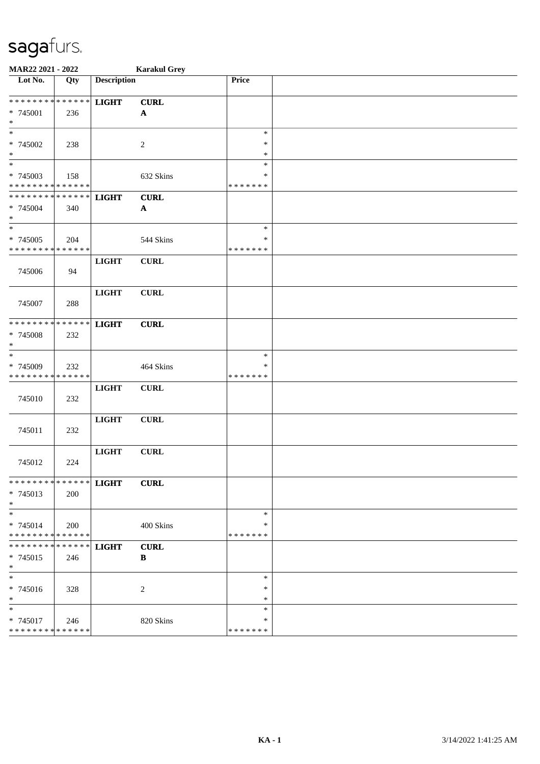| MAR22 2021 - 2022                       |               |                    | <b>Karakul Grey</b> |                    |  |
|-----------------------------------------|---------------|--------------------|---------------------|--------------------|--|
| Lot No.                                 | Qty           | <b>Description</b> |                     | Price              |  |
| **************                          |               | <b>LIGHT</b>       | <b>CURL</b>         |                    |  |
| * 745001                                | 236           |                    | $\mathbf{A}$        |                    |  |
| $\ast$                                  |               |                    |                     |                    |  |
| $\ast$                                  |               |                    |                     | $\ast$             |  |
| * 745002                                | 238           |                    | $\boldsymbol{2}$    | $\ast$             |  |
| $\ast$                                  |               |                    |                     | $\ast$             |  |
| $\overline{\phantom{a}^*}$              |               |                    |                     | $\ast$             |  |
| * 745003                                | 158           |                    | 632 Skins           | $\ast$             |  |
| * * * * * * * * * * * * * *             |               |                    |                     | * * * * * * *      |  |
| * * * * * * * * * * * * * *             |               | <b>LIGHT</b>       | <b>CURL</b>         |                    |  |
| * 745004                                | 340           |                    | $\mathbf{A}$        |                    |  |
| $\ast$                                  |               |                    |                     |                    |  |
| $\overline{\phantom{1}}$                |               |                    |                     | $\ast$             |  |
| * 745005                                | 204           |                    | 544 Skins           | $\ast$             |  |
| * * * * * * * * * * * * * *             |               |                    |                     | * * * * * * *      |  |
|                                         |               | <b>LIGHT</b>       | CURL                |                    |  |
| 745006                                  | 94            |                    |                     |                    |  |
|                                         |               |                    |                     |                    |  |
|                                         |               | <b>LIGHT</b>       | <b>CURL</b>         |                    |  |
| 745007                                  | 288           |                    |                     |                    |  |
|                                         |               |                    |                     |                    |  |
| * * * * * * * *                         | * * * * * *   | <b>LIGHT</b>       | <b>CURL</b>         |                    |  |
| * 745008                                | 232           |                    |                     |                    |  |
| $\ast$                                  |               |                    |                     |                    |  |
| $\ast$                                  |               |                    |                     | $\ast$             |  |
| * 745009                                | 232           |                    | 464 Skins           | $\ast$             |  |
| * * * * * * * *                         | * * * * * *   |                    |                     | * * * * * * *      |  |
|                                         |               | <b>LIGHT</b>       | ${\bf CURL}$        |                    |  |
| 745010                                  | 232           |                    |                     |                    |  |
|                                         |               |                    |                     |                    |  |
|                                         |               | <b>LIGHT</b>       | CURL                |                    |  |
| 745011                                  | 232           |                    |                     |                    |  |
|                                         |               |                    |                     |                    |  |
|                                         |               | <b>LIGHT</b>       | <b>CURL</b>         |                    |  |
| 745012                                  | 224           |                    |                     |                    |  |
|                                         |               |                    |                     |                    |  |
| *************** LIGHT                   |               |                    | <b>CURL</b>         |                    |  |
| $* 745013$                              | 200           |                    |                     |                    |  |
| $*$                                     |               |                    |                     |                    |  |
| $\ast$                                  |               |                    |                     | $\ast$             |  |
| $* 745014$                              | 200           |                    | 400 Skins           | *<br>* * * * * * * |  |
| **************<br>* * * * * * * *       | * * * * * * * |                    |                     |                    |  |
|                                         |               | <b>LIGHT</b>       | CURL                |                    |  |
| $* 745015$<br>$\ast$                    | 246           |                    | B                   |                    |  |
| $\ast$                                  |               |                    |                     | $\ast$             |  |
|                                         |               |                    |                     | ∗                  |  |
| * 745016<br>$\ast$                      | 328           |                    | $\overline{c}$      | $\ast$             |  |
| $\ast$                                  |               |                    |                     | $\ast$             |  |
|                                         |               |                    |                     | *                  |  |
| * 745017<br>* * * * * * * * * * * * * * | 246           |                    | 820 Skins           | * * * * * * *      |  |
|                                         |               |                    |                     |                    |  |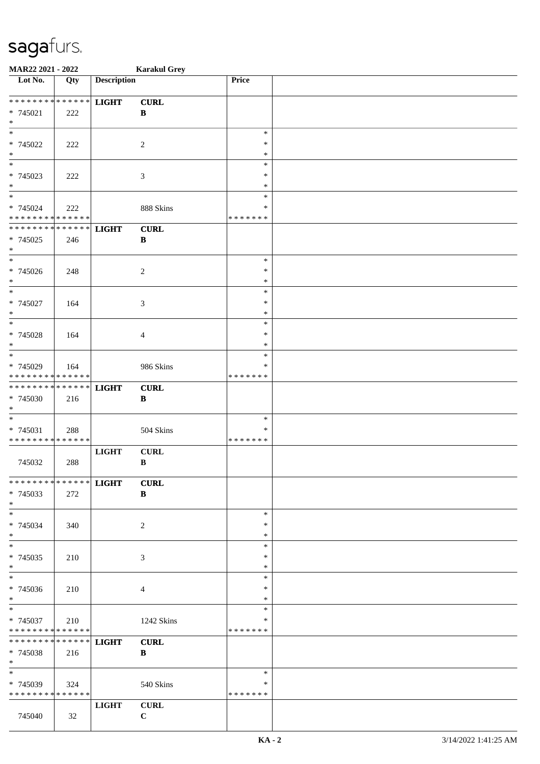| MAR22 2021 - 2022                                   |     |                    | <b>Karakul Grey</b>         |                                   |  |
|-----------------------------------------------------|-----|--------------------|-----------------------------|-----------------------------------|--|
| Lot No.                                             | Qty | <b>Description</b> |                             | Price                             |  |
| * * * * * * * * * * * * * *<br>$* 745021$<br>$\ast$ | 222 | <b>LIGHT</b>       | <b>CURL</b><br>$\, {\bf B}$ |                                   |  |
| $\ast$<br>* 745022<br>$\ast$                        | 222 |                    | $\sqrt{2}$                  | $\ast$<br>∗<br>$\ast$             |  |
| $_{*}$<br>* 745023<br>$\ast$<br>$\overline{\ast}$   | 222 |                    | 3                           | $\ast$<br>$\ast$<br>$\ast$        |  |
| * 745024<br>* * * * * * * * * * * * * *             | 222 |                    | 888 Skins                   | $\ast$<br>∗<br>* * * * * * *      |  |
| * * * * * * * * * * * * * *<br>* 745025<br>$\ast$   | 246 | <b>LIGHT</b>       | <b>CURL</b><br>$\, {\bf B}$ |                                   |  |
| $\overline{\phantom{a}^*}$<br>* 745026<br>$\ast$    | 248 |                    | $\overline{c}$              | $\ast$<br>$\ast$<br>$\ast$        |  |
| $\ast$<br>* 745027<br>$\ast$                        | 164 |                    | 3                           | $\ast$<br>$\ast$<br>$\ast$        |  |
| $\ast$<br>* 745028<br>$\ast$                        | 164 |                    | $\overline{4}$              | $\ast$<br>$\ast$<br>$\ast$        |  |
| $\ast$<br>* 745029<br>* * * * * * * * * * * * * *   | 164 |                    | 986 Skins                   | $\ast$<br>$\ast$<br>* * * * * * * |  |
| **************<br>* 745030<br>$\ast$                | 216 | <b>LIGHT</b>       | <b>CURL</b><br>$\, {\bf B}$ |                                   |  |
| $\ast$<br>* 745031<br>* * * * * * * * * * * * * *   | 288 |                    | 504 Skins                   | $\ast$<br>$\ast$<br>* * * * * * * |  |
| 745032                                              | 288 | <b>LIGHT</b>       | <b>CURL</b><br>$\, {\bf B}$ |                                   |  |
| * * * * * * * * * * * * * * *<br>$* 745033$<br>$*$  | 272 | <b>LIGHT</b>       | <b>CURL</b><br>$\, {\bf B}$ |                                   |  |
| $*$<br>* 745034<br>$*$                              | 340 |                    | $\overline{2}$              | $\ast$<br>∗<br>$\ast$             |  |
| $\ast$<br>* 745035<br>$*$                           | 210 |                    | 3                           | $\ast$<br>$\ast$<br>$\ast$        |  |
| $_{\ast}^{-}$<br>* 745036<br>$*$                    | 210 |                    | $\overline{4}$              | $\ast$<br>∗<br>$\ast$             |  |
| $*$<br>* 745037<br>* * * * * * * * * * * * * *      | 210 |                    | 1242 Skins                  | $\ast$<br>$\ast$<br>* * * * * * * |  |
| ******** <mark>******</mark><br>* 745038<br>$*$     | 216 | <b>LIGHT</b>       | <b>CURL</b><br>$\bf{B}$     |                                   |  |
| $\ast$<br>* 745039<br>* * * * * * * * * * * * * *   | 324 |                    | 540 Skins                   | $\ast$<br>∗<br>* * * * * * *      |  |
| 745040                                              | 32  | <b>LIGHT</b>       | <b>CURL</b><br>$\mathbf C$  |                                   |  |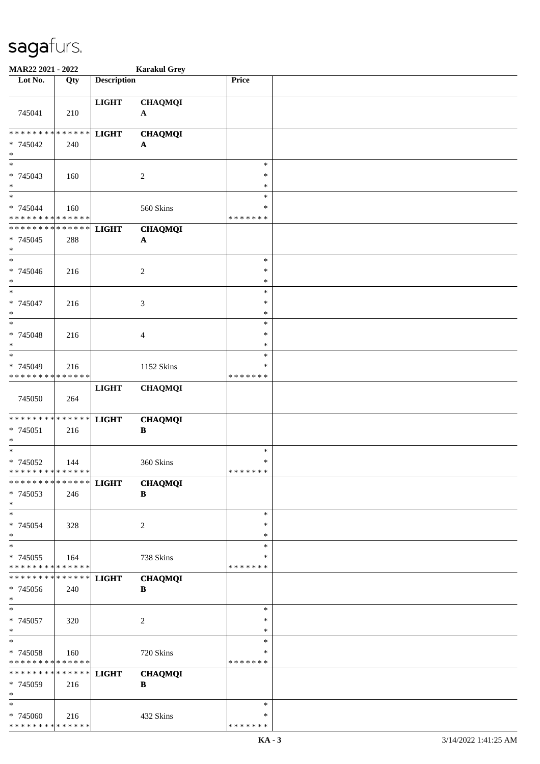| MAR22 2021 - 2022                                 |     |                    | <b>Karakul Grey</b>                         |                                   |  |
|---------------------------------------------------|-----|--------------------|---------------------------------------------|-----------------------------------|--|
| Lot No.                                           | Qty | <b>Description</b> |                                             | Price                             |  |
| 745041                                            | 210 | <b>LIGHT</b>       | <b>CHAQMQI</b><br>$\mathbf{A}$              |                                   |  |
| * * * * * * * * * * * * * *<br>* 745042<br>$\ast$ | 240 | <b>LIGHT</b>       | <b>CHAQMQI</b><br>$\mathbf A$               |                                   |  |
| $\overline{\phantom{0}}$<br>* 745043<br>$\ast$    | 160 |                    | $\overline{c}$                              | $\ast$<br>∗<br>$\ast$             |  |
| $\ast$<br>* 745044<br>* * * * * * * * * * * * * * | 160 |                    | 560 Skins                                   | $\ast$<br>∗<br>* * * * * * *      |  |
| * * * * * * * * * * * * * *<br>* 745045<br>$\ast$ | 288 | <b>LIGHT</b>       | <b>CHAQMQI</b><br>$\boldsymbol{\mathsf{A}}$ |                                   |  |
| $\ast$<br>* 745046<br>$\ast$                      | 216 |                    | $\overline{c}$                              | $\ast$<br>$\ast$<br>$\ast$        |  |
| $\ast$<br>$* 745047$<br>$\ast$                    | 216 |                    | $\mathfrak{Z}$                              | $\ast$<br>$\ast$<br>∗             |  |
| $\ast$<br>$* 745048$<br>$\ast$                    | 216 |                    | $\overline{4}$                              | $\ast$<br>$\ast$<br>$\ast$        |  |
| $\ast$<br>* 745049<br>* * * * * * * * * * * * * * | 216 |                    | 1152 Skins                                  | $\ast$<br>∗<br>* * * * * * *      |  |
| 745050                                            | 264 | <b>LIGHT</b>       | <b>CHAQMQI</b>                              |                                   |  |
| * * * * * * * * * * * * * *<br>* 745051<br>$\ast$ | 216 | <b>LIGHT</b>       | <b>CHAQMQI</b><br>$\, {\bf B}$              |                                   |  |
| $\ast$<br>* 745052<br>* * * * * * * * * * * * * * | 144 |                    | 360 Skins                                   | $\ast$<br>$\ast$<br>* * * * * * * |  |
| * * * * * * * * * * * * * *<br>* 745053<br>$\ast$ | 246 | <b>LIGHT</b>       | <b>CHAQMQI</b><br>$\bf{B}$                  |                                   |  |
| $\ast$<br>* 745054<br>$\ast$                      | 328 |                    | 2                                           | ∗<br>∗<br>$\ast$                  |  |
| $\ast$<br>* 745055<br>* * * * * * * * * * * * * * | 164 |                    | 738 Skins                                   | $\ast$<br>∗<br>* * * * * * *      |  |
| * * * * * * * * * * * * * *<br>* 745056<br>$*$    | 240 | <b>LIGHT</b>       | <b>CHAQMQI</b><br>$\, {\bf B}$              |                                   |  |
| $\ast$<br>$* 745057$<br>$\ast$                    | 320 |                    | $\sqrt{2}$                                  | ∗<br>∗<br>$\ast$                  |  |
| $\ast$<br>* 745058<br>* * * * * * * * * * * * * * | 160 |                    | 720 Skins                                   | $\ast$<br>∗<br>* * * * * * *      |  |
| * * * * * * * * * * * * * *<br>* 745059<br>$\ast$ | 216 | <b>LIGHT</b>       | <b>CHAQMQI</b><br>B                         |                                   |  |
| $\ast$<br>* 745060<br>* * * * * * * * * * * * * * | 216 |                    | 432 Skins                                   | ∗<br>∗<br>* * * * * * *           |  |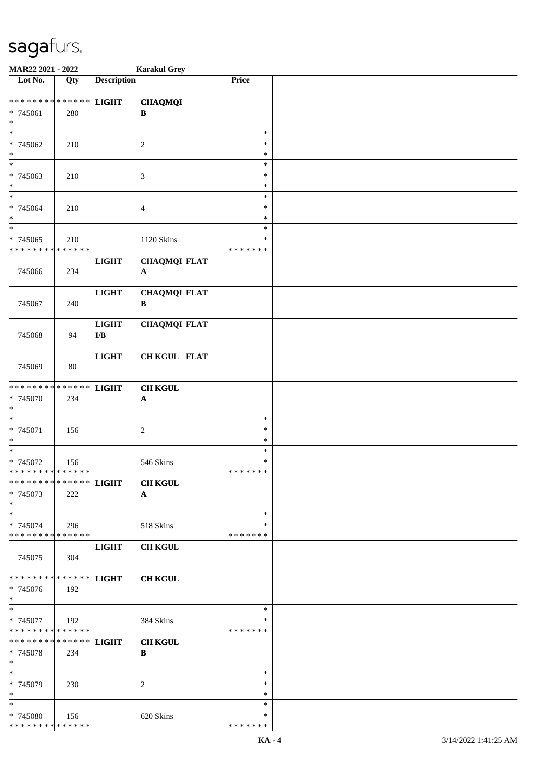| MAR22 2021 - 2022                                   |                   |                     | <b>Karakul Grey</b>                         |                                   |  |
|-----------------------------------------------------|-------------------|---------------------|---------------------------------------------|-----------------------------------|--|
| Lot No.                                             | $\overline{Q}$ ty | <b>Description</b>  |                                             | Price                             |  |
| ******** <mark>******</mark><br>* 745061<br>$\ast$  | 280               | <b>LIGHT</b>        | <b>CHAQMQI</b><br>B                         |                                   |  |
| $\ast$<br>* 745062<br>$\ast$                        | 210               |                     | $\boldsymbol{2}$                            | $\ast$<br>∗<br>$\ast$             |  |
| $\overline{\phantom{0}}$<br>* 745063<br>$\ast$      | 210               |                     | $\mathfrak{Z}$                              | $\ast$<br>$\ast$<br>$\ast$        |  |
| $\ast$<br>$* 745064$<br>$\ast$                      | 210               |                     | $\overline{4}$                              | $\ast$<br>$\ast$<br>$\ast$        |  |
| $\ast$<br>$* 745065$<br>* * * * * * * * * * * * * * | 210               |                     | 1120 Skins                                  | $\ast$<br>$\ast$<br>* * * * * * * |  |
| 745066                                              | 234               | <b>LIGHT</b>        | <b>CHAQMQI FLAT</b><br>$\mathbf{A}$         |                                   |  |
| 745067                                              | 240               | <b>LIGHT</b>        | <b>CHAQMQI FLAT</b><br>B                    |                                   |  |
| 745068                                              | 94                | <b>LIGHT</b><br>I/B | <b>CHAQMQI FLAT</b>                         |                                   |  |
| 745069                                              | 80                | <b>LIGHT</b>        | CH KGUL FLAT                                |                                   |  |
| ******** <mark>******</mark><br>* 745070<br>$\ast$  | 234               | <b>LIGHT</b>        | <b>CH KGUL</b><br>$\boldsymbol{\mathsf{A}}$ |                                   |  |
| $\ast$<br>$* 745071$<br>$\ast$                      | 156               |                     | $\boldsymbol{2}$                            | $\ast$<br>$\ast$<br>$\ast$        |  |
| $\ast$<br>$* 745072$<br>* * * * * * * * * * * * * * | 156               |                     | 546 Skins                                   | $\ast$<br>$\ast$<br>* * * * * * * |  |
| * * * * * * * * * * * * * * *<br>* 745073<br>$\ast$ | 222               | <b>LIGHT</b>        | <b>CH KGUL</b><br>$\mathbf{A}$              |                                   |  |
| $\ast$<br>* 745074<br>* * * * * * * * * * * * * *   | 296               |                     | 518 Skins                                   | $\ast$<br>∗<br>* * * * * * *      |  |
| 745075                                              | 304               | <b>LIGHT</b>        | <b>CH KGUL</b>                              |                                   |  |
| * * * * * * * * * * * * * *<br>* 745076<br>$*$      | 192               | <b>LIGHT</b>        | <b>CH KGUL</b>                              |                                   |  |
| $\ast$<br>* 745077<br>* * * * * * * * * * * * * *   | 192               |                     | 384 Skins                                   | $\ast$<br>∗<br>* * * * * * *      |  |
| * * * * * * * * * * * * * * *<br>* 745078<br>$\ast$ | 234               | <b>LIGHT</b>        | <b>CH KGUL</b><br>B                         |                                   |  |
| $\ast$<br>* 745079<br>$\ast$                        | 230               |                     | 2                                           | $\ast$<br>∗<br>$\ast$             |  |
| $\ast$<br>* 745080<br>* * * * * * * * * * * * * *   | 156               |                     | 620 Skins                                   | $\ast$<br>*<br>* * * * * * *      |  |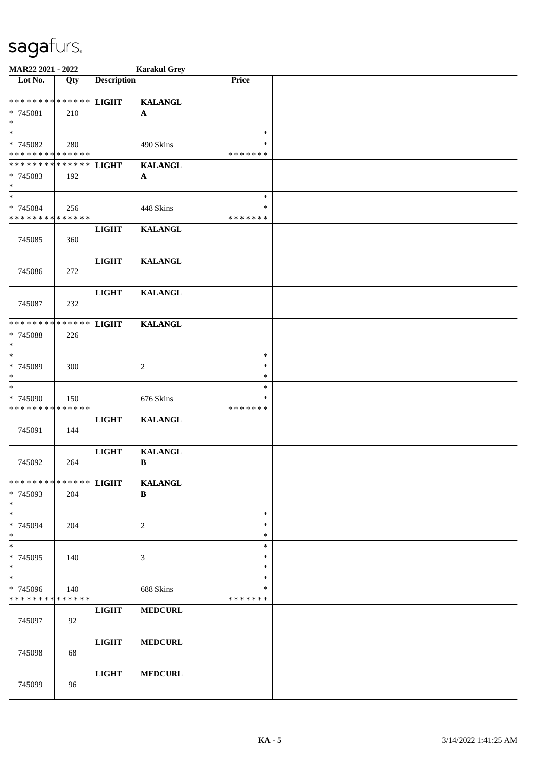| MAR22 2021 - 2022                                 |     |                    | <b>Karakul Grey</b>            |                                   |  |
|---------------------------------------------------|-----|--------------------|--------------------------------|-----------------------------------|--|
| Lot No.                                           | Qty | <b>Description</b> |                                | Price                             |  |
| * * * * * * * * * * * * * *<br>* 745081<br>$\ast$ | 210 | <b>LIGHT</b>       | <b>KALANGL</b><br>$\mathbf A$  |                                   |  |
| $\ast$<br>* 745082<br>* * * * * * * * * * * * * * | 280 |                    | 490 Skins                      | $\ast$<br>∗<br>* * * * * * *      |  |
| * * * * * * * * * * * * * *<br>* 745083<br>$\ast$ | 192 | <b>LIGHT</b>       | <b>KALANGL</b><br>$\mathbf{A}$ |                                   |  |
| $\ast$<br>* 745084<br>* * * * * * * * * * * * * * | 256 |                    | 448 Skins                      | $\ast$<br>$\ast$<br>* * * * * * * |  |
| 745085                                            | 360 | <b>LIGHT</b>       | <b>KALANGL</b>                 |                                   |  |
| 745086                                            | 272 | <b>LIGHT</b>       | <b>KALANGL</b>                 |                                   |  |
| 745087                                            | 232 | <b>LIGHT</b>       | <b>KALANGL</b>                 |                                   |  |
| * * * * * * * * * * * * * *<br>* 745088<br>$\ast$ | 226 | <b>LIGHT</b>       | <b>KALANGL</b>                 |                                   |  |
| $\ast$<br>* 745089<br>$\ast$                      | 300 |                    | $\overline{c}$                 | $\ast$<br>$\ast$<br>$\ast$        |  |
| $\ast$<br>* 745090<br>* * * * * * * * * * * * * * | 150 |                    | 676 Skins                      | $\ast$<br>∗<br>* * * * * * *      |  |
| 745091                                            | 144 | <b>LIGHT</b>       | <b>KALANGL</b>                 |                                   |  |
| 745092                                            | 264 | <b>LIGHT</b>       | <b>KALANGL</b><br>$\, {\bf B}$ |                                   |  |
| * * * * * * * * * * * * * * *<br>* 745093<br>$*$  | 204 | <b>LIGHT</b>       | <b>KALANGL</b><br>B            |                                   |  |
| $\ast$<br>* 745094<br>$*$                         | 204 |                    | 2                              | $\ast$<br>$\ast$<br>$\ast$        |  |
| $\ast$<br>* 745095<br>$\ast$                      | 140 |                    | 3                              | $\ast$<br>$\ast$<br>$\ast$        |  |
| $\ast$<br>* 745096<br>* * * * * * * * * * * * * * | 140 |                    | 688 Skins                      | $\ast$<br>∗<br>* * * * * * *      |  |
| 745097                                            | 92  | <b>LIGHT</b>       | <b>MEDCURL</b>                 |                                   |  |
| 745098                                            | 68  | <b>LIGHT</b>       | <b>MEDCURL</b>                 |                                   |  |
| 745099                                            | 96  | <b>LIGHT</b>       | <b>MEDCURL</b>                 |                                   |  |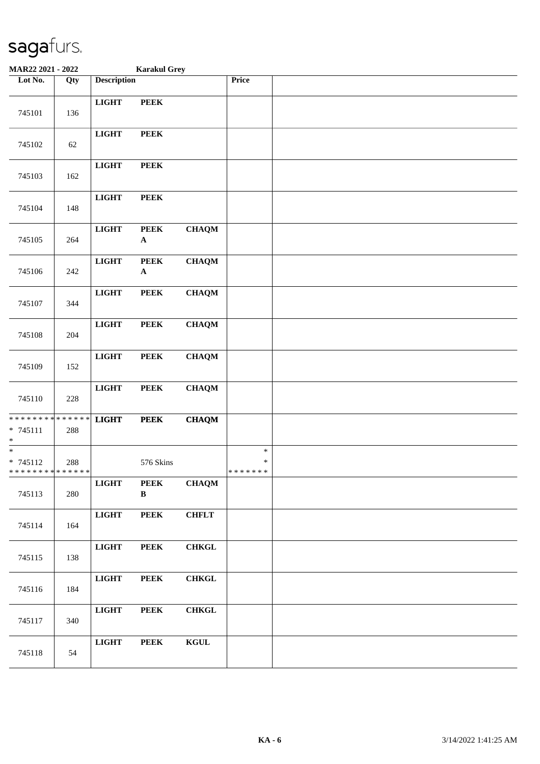| MAR22 2021 - 2022                                                     |         | <b>Karakul Grey</b> |                             |                                           |                                   |  |
|-----------------------------------------------------------------------|---------|---------------------|-----------------------------|-------------------------------------------|-----------------------------------|--|
| Lot No.                                                               | Qty     | <b>Description</b>  |                             |                                           | Price                             |  |
| 745101                                                                | 136     | <b>LIGHT</b>        | <b>PEEK</b>                 |                                           |                                   |  |
| 745102                                                                | $62\,$  | <b>LIGHT</b>        | <b>PEEK</b>                 |                                           |                                   |  |
| 745103                                                                | 162     | <b>LIGHT</b>        | <b>PEEK</b>                 |                                           |                                   |  |
| 745104                                                                | 148     | <b>LIGHT</b>        | <b>PEEK</b>                 |                                           |                                   |  |
| 745105                                                                | 264     | <b>LIGHT</b>        | <b>PEEK</b><br>$\mathbf{A}$ | <b>CHAQM</b>                              |                                   |  |
| 745106                                                                | 242     | <b>LIGHT</b>        | <b>PEEK</b><br>$\mathbf A$  | <b>CHAQM</b>                              |                                   |  |
| 745107                                                                | 344     | <b>LIGHT</b>        | <b>PEEK</b>                 | <b>CHAQM</b>                              |                                   |  |
| 745108                                                                | 204     | <b>LIGHT</b>        | <b>PEEK</b>                 | <b>CHAQM</b>                              |                                   |  |
| 745109                                                                | 152     | <b>LIGHT</b>        | <b>PEEK</b>                 | <b>CHAQM</b>                              |                                   |  |
| 745110                                                                | $228\,$ | $_{\rm LIGHT}$      | <b>PEEK</b>                 | <b>CHAQM</b>                              |                                   |  |
| * * * * * * * * <mark>* * * * * * *</mark><br>$* 745111$<br>$\ast$    | 288     | <b>LIGHT</b>        | <b>PEEK</b>                 | <b>CHAQM</b>                              |                                   |  |
| $\overline{\phantom{0}}$<br>$* 745112$<br>* * * * * * * * * * * * * * | 288     |                     | 576 Skins                   |                                           | $\ast$<br>$\ast$<br>* * * * * * * |  |
| 745113                                                                | 280     | $LIGHT$             | <b>PEEK</b><br>$\, {\bf B}$ | <b>CHAQM</b>                              |                                   |  |
| 745114                                                                | 164     | $_{\rm LIGHT}$      | <b>PEEK</b>                 | <b>CHFLT</b>                              |                                   |  |
| 745115                                                                | 138     | $_{\rm LIGHT}$      | <b>PEEK</b>                 | ${\bf CHKGL}$                             |                                   |  |
| 745116                                                                | 184     | $_{\rm LIGHT}$      | <b>PEEK</b>                 | ${\bf CHKGL}$                             |                                   |  |
| 745117                                                                | 340     | $_{\rm LIGHT}$      | <b>PEEK</b>                 | <b>CHKGL</b>                              |                                   |  |
| 745118                                                                | 54      | $_{\rm LIGHT}$      | <b>PEEK</b>                 | $\mathbf K \mathbf G \mathbf U \mathbf L$ |                                   |  |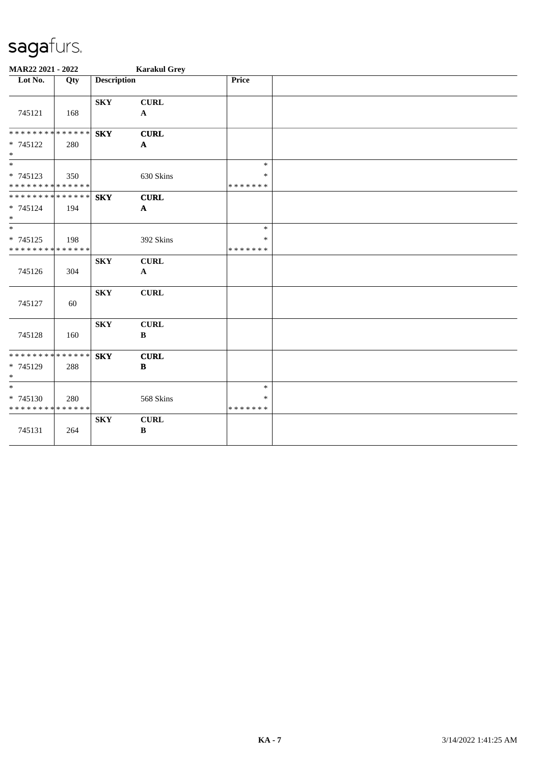| MAR22 2021 - 2022                                                   |     |                         | <b>Karakul Grey</b>                      |                                   |  |
|---------------------------------------------------------------------|-----|-------------------------|------------------------------------------|-----------------------------------|--|
| $\overline{\phantom{1}}$ Lot No.                                    | Qty | <b>Description</b>      |                                          | Price                             |  |
| 745121                                                              | 168 | ${\bf S}{\bf K}{\bf Y}$ | <b>CURL</b><br>$\mathbf{A}$              |                                   |  |
| **************<br>* 745122<br>$\ast$                                | 280 | <b>SKY</b>              | <b>CURL</b><br>$\boldsymbol{\mathsf{A}}$ |                                   |  |
| $\overline{\phantom{0}}$<br>* 745123<br>* * * * * * * * * * * * * * | 350 |                         | 630 Skins                                | $\ast$<br>$\ast$<br>* * * * * * * |  |
| **************<br>* 745124<br>$\ast$                                | 194 | <b>SKY</b>              | <b>CURL</b><br>$\mathbf{A}$              |                                   |  |
| $\ast$<br>* 745125<br>* * * * * * * * * * * * * *                   | 198 |                         | 392 Skins                                | $\ast$<br>$\ast$<br>* * * * * * * |  |
| 745126                                                              | 304 | <b>SKY</b>              | <b>CURL</b><br>$\mathbf{A}$              |                                   |  |
| 745127                                                              | 60  | ${\bf S}{\bf K}{\bf Y}$ | <b>CURL</b>                              |                                   |  |
| 745128                                                              | 160 | ${\bf S}{\bf K}{\bf Y}$ | <b>CURL</b><br>$\, {\bf B}$              |                                   |  |
| **************<br>$* 745129$<br>$\ast$                              | 288 | <b>SKY</b>              | <b>CURL</b><br>$\, {\bf B}$              |                                   |  |
| $\ast$<br>$* 745130$<br>* * * * * * * * * * * * * *                 | 280 |                         | 568 Skins                                | $\ast$<br>$\ast$<br>* * * * * * * |  |
| 745131                                                              | 264 | ${\bf S}{\bf K}{\bf Y}$ | CURL<br>$\, {\bf B}$                     |                                   |  |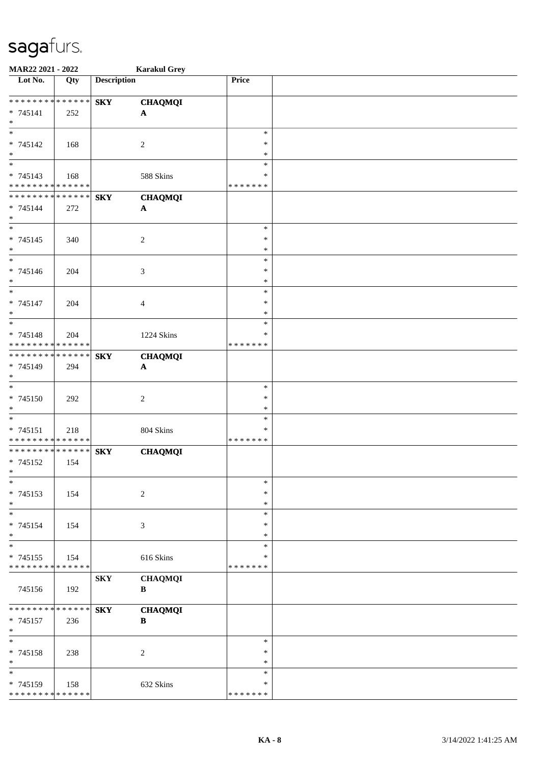| MAR22 2021 - 2022                         |     |                    | <b>Karakul Grey</b>         |               |  |
|-------------------------------------------|-----|--------------------|-----------------------------|---------------|--|
| Lot No.                                   | Qty | <b>Description</b> |                             | Price         |  |
|                                           |     |                    |                             |               |  |
| * * * * * * * * * * * * * *               |     | <b>SKY</b>         | <b>CHAQMQI</b>              |               |  |
| * 745141                                  | 252 |                    | $\mathbf A$                 |               |  |
| $\ast$                                    |     |                    |                             |               |  |
| $\overline{\ast}$                         |     |                    |                             | $\ast$        |  |
| $* 745142$                                | 168 |                    | $\sqrt{2}$                  | $\ast$        |  |
| $\ast$<br>$_{\ast}^{-}$                   |     |                    |                             | $\ast$        |  |
|                                           |     |                    |                             | $\ast$        |  |
| $* 745143$<br>* * * * * * * * * * * * * * | 168 |                    | 588 Skins                   | $\ast$        |  |
| **************                            |     |                    |                             | * * * * * * * |  |
|                                           |     | <b>SKY</b>         | <b>CHAQMQI</b>              |               |  |
| $* 745144$<br>$\ast$                      | 272 |                    | $\boldsymbol{\mathsf{A}}$   |               |  |
| $\ast$                                    |     |                    |                             | $\ast$        |  |
| $* 745145$                                | 340 |                    | $\overline{c}$              | $\ast$        |  |
| $\ast$                                    |     |                    |                             | $\ast$        |  |
| $\overline{\ast}$                         |     |                    |                             | $\ast$        |  |
| * 745146                                  | 204 |                    | $\ensuremath{\mathfrak{Z}}$ | $\ast$        |  |
| $\ast$                                    |     |                    |                             | $\ast$        |  |
| $\ast$                                    |     |                    |                             | $\ast$        |  |
| * 745147                                  | 204 |                    | $\overline{4}$              | $\ast$        |  |
| $\ast$                                    |     |                    |                             | $\ast$        |  |
| $\ast$                                    |     |                    |                             | $\ast$        |  |
| * 745148                                  | 204 |                    | 1224 Skins                  | $\ast$        |  |
| * * * * * * * * * * * * * *               |     |                    |                             | * * * * * * * |  |
| * * * * * * * * * * * * * *               |     | <b>SKY</b>         | <b>CHAQMQI</b>              |               |  |
| * 745149                                  | 294 |                    | $\boldsymbol{\mathsf{A}}$   |               |  |
| $\ast$                                    |     |                    |                             |               |  |
| $\overline{\phantom{1}}$                  |     |                    |                             | $\ast$        |  |
| $* 745150$                                | 292 |                    | $\sqrt{2}$                  | $\ast$        |  |
| $\ast$                                    |     |                    |                             | $\ast$        |  |
| $\ast$                                    |     |                    |                             | $\ast$        |  |
| $* 745151$                                | 218 |                    | 804 Skins                   | $\ast$        |  |
| ******** <mark>******</mark>              |     |                    |                             | * * * * * * * |  |
| **************                            |     | <b>SKY</b>         | <b>CHAQMQI</b>              |               |  |
| * 745152                                  | 154 |                    |                             |               |  |
| $*$<br>$\ast$                             |     |                    |                             | $\ast$        |  |
|                                           |     |                    |                             | $\ast$        |  |
| * 745153<br>$\ast$                        | 154 |                    | $\sqrt{2}$                  | $\ast$        |  |
| $\ast$                                    |     |                    |                             | $\ast$        |  |
| * 745154                                  | 154 |                    | 3                           | ∗             |  |
| $\ast$                                    |     |                    |                             | ∗             |  |
| $\ast$                                    |     |                    |                             | $\ast$        |  |
| $* 745155$                                | 154 |                    | 616 Skins                   | ∗             |  |
| * * * * * * * * * * * * * *               |     |                    |                             | * * * * * * * |  |
|                                           |     | <b>SKY</b>         | <b>CHAQMQI</b>              |               |  |
| 745156                                    | 192 |                    | B                           |               |  |
|                                           |     |                    |                             |               |  |
| * * * * * * * * * * * * * *               |     | <b>SKY</b>         | <b>CHAQMQI</b>              |               |  |
| * 745157                                  | 236 |                    | $\, {\bf B}$                |               |  |
| $\ast$                                    |     |                    |                             |               |  |
| $\ast$                                    |     |                    |                             | $\ast$        |  |
| * 745158                                  | 238 |                    | $\overline{c}$              | $\ast$        |  |
| $\ast$                                    |     |                    |                             | $\ast$        |  |
| $\ast$                                    |     |                    |                             | $\ast$        |  |
| * 745159                                  | 158 |                    | 632 Skins                   | ∗             |  |
| * * * * * * * * * * * * * *               |     |                    |                             | * * * * * * * |  |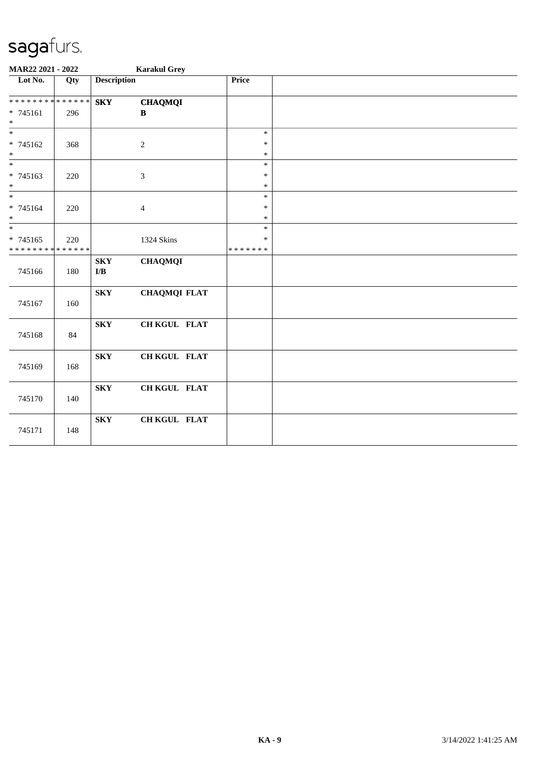| MAR22 2021 - 2022                |     |                                                    | <b>Karakul Grey</b>         |                  |  |
|----------------------------------|-----|----------------------------------------------------|-----------------------------|------------------|--|
| $\overline{\phantom{1}}$ Lot No. | Qty | <b>Description</b>                                 |                             | Price            |  |
| * * * * * * * * * * * * * *      |     | <b>SKY</b>                                         | <b>CHAQMQI</b>              |                  |  |
| $* 745161$<br>$\ast$             | 296 |                                                    | $\, {\bf B}$                |                  |  |
| $\ast$                           |     |                                                    |                             | $\ast$           |  |
| * 745162<br>$\ast$               | 368 |                                                    | $\sqrt{2}$                  | $\ast$<br>$\ast$ |  |
| $\overline{\phantom{1}}$         |     |                                                    |                             | $\ast$           |  |
| * 745163                         | 220 |                                                    | $\boldsymbol{\mathfrak{Z}}$ | $\ast$           |  |
| $\ast$                           |     |                                                    |                             | $\ast$           |  |
| $\ast$                           |     |                                                    |                             | $\ast$           |  |
| * 745164<br>$\ast$               | 220 |                                                    | $\overline{4}$              | $\ast$<br>$\ast$ |  |
| $\overline{\ast}$                |     |                                                    |                             | $\ast$           |  |
| * 745165                         | 220 |                                                    | 1324 Skins                  | $\ast$           |  |
| * * * * * * * * * * * * * *      |     |                                                    |                             | * * * * * * *    |  |
| 745166                           | 180 | ${\bf S}{\bf K}{\bf Y}$<br>$\mathbf{I}/\mathbf{B}$ | <b>CHAQMQI</b>              |                  |  |
| 745167                           | 160 | <b>SKY</b>                                         | <b>CHAQMQI FLAT</b>         |                  |  |
| 745168                           | 84  | <b>SKY</b>                                         | CH KGUL FLAT                |                  |  |
| 745169                           | 168 | <b>SKY</b>                                         | CH KGUL FLAT                |                  |  |
| 745170                           | 140 | <b>SKY</b>                                         | CH KGUL FLAT                |                  |  |
| 745171                           | 148 | <b>SKY</b>                                         | CH KGUL FLAT                |                  |  |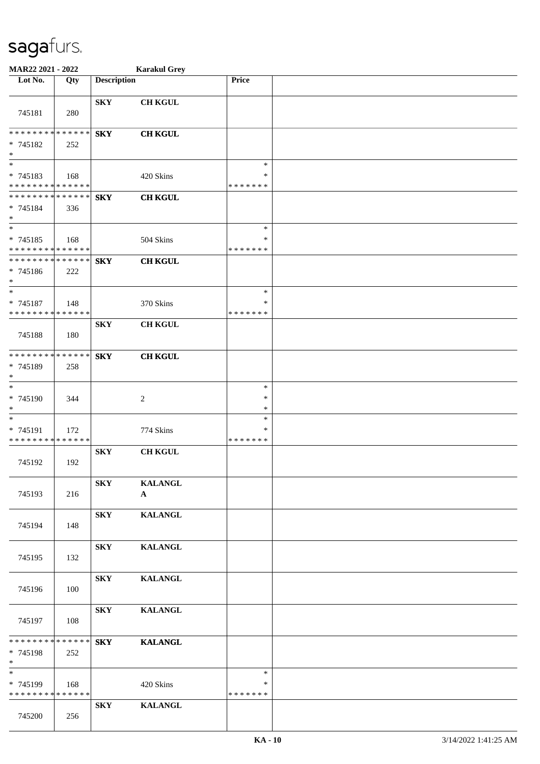| MAR22 2021 - 2022                                                   |     |                         | <b>Karakul Grey</b>            |                                   |  |
|---------------------------------------------------------------------|-----|-------------------------|--------------------------------|-----------------------------------|--|
| Lot No.                                                             | Qty | <b>Description</b>      |                                | Price                             |  |
| 745181                                                              | 280 | ${\bf S}{\bf K}{\bf Y}$ | <b>CH KGUL</b>                 |                                   |  |
| * * * * * * * * * * * * * *<br>* 745182<br>$\ast$                   | 252 | <b>SKY</b>              | <b>CH KGUL</b>                 |                                   |  |
| $\overline{\phantom{0}}$<br>* 745183<br>* * * * * * * * * * * * * * | 168 |                         | 420 Skins                      | $\ast$<br>∗<br>* * * * * * *      |  |
| * * * * * * * * * * * * * *<br>* 745184<br>$\ast$                   | 336 | <b>SKY</b>              | <b>CH KGUL</b>                 |                                   |  |
| $\ast$<br>* 745185<br>* * * * * * * * * * * * * *                   | 168 |                         | 504 Skins                      | $\ast$<br>∗<br>* * * * * * *      |  |
| * * * * * * * * * * * * * *<br>$* 745186$<br>$\ast$                 | 222 | <b>SKY</b>              | <b>CH KGUL</b>                 |                                   |  |
| $\ast$<br>* 745187<br>* * * * * * * * * * * * * *                   | 148 |                         | 370 Skins                      | $\ast$<br>$\ast$<br>* * * * * * * |  |
| 745188                                                              | 180 | ${\bf S}{\bf K}{\bf Y}$ | <b>CH KGUL</b>                 |                                   |  |
| * * * * * * * * * * * * * *<br>* 745189<br>$\ast$                   | 258 | <b>SKY</b>              | <b>CH KGUL</b>                 |                                   |  |
| $\ast$<br>* 745190<br>$\ast$                                        | 344 |                         | $\overline{c}$                 | $\ast$<br>$\ast$<br>*             |  |
| $\ast$<br>* 745191<br>* * * * * * * * * * * * * *                   | 172 |                         | 774 Skins                      | ∗<br>∗<br>* * * * * * *           |  |
| 745192                                                              | 192 | <b>SKY</b>              | <b>CH KGUL</b>                 |                                   |  |
| 745193                                                              | 216 | <b>SKY</b>              | <b>KALANGL</b><br>$\mathbf{A}$ |                                   |  |
| 745194                                                              | 148 | <b>SKY</b>              | <b>KALANGL</b>                 |                                   |  |
| 745195                                                              | 132 | <b>SKY</b>              | <b>KALANGL</b>                 |                                   |  |
| 745196                                                              | 100 | <b>SKY</b>              | <b>KALANGL</b>                 |                                   |  |
| 745197                                                              | 108 | ${\bf S}{\bf K}{\bf Y}$ | <b>KALANGL</b>                 |                                   |  |
| * * * * * * * * * * * * * *<br>* 745198<br>$*$                      | 252 | <b>SKY</b>              | <b>KALANGL</b>                 |                                   |  |
| $\ast$<br>* 745199<br>* * * * * * * * * * * * * *                   | 168 |                         | 420 Skins                      | $\ast$<br>$\ast$<br>* * * * * * * |  |
| 745200                                                              | 256 | <b>SKY</b>              | <b>KALANGL</b>                 |                                   |  |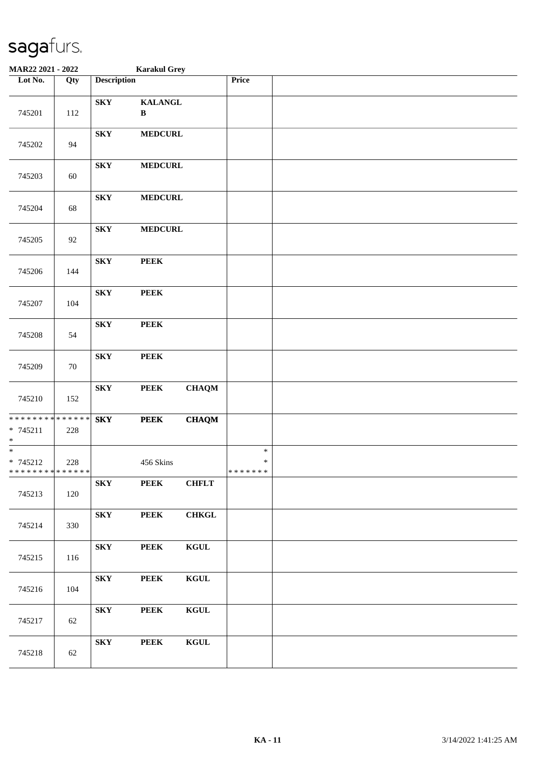| MAR22 2021 - 2022                                        |     |                         | <b>Karakul Grey</b>            |              |                             |  |
|----------------------------------------------------------|-----|-------------------------|--------------------------------|--------------|-----------------------------|--|
| Lot No.                                                  | Qty | <b>Description</b>      |                                |              | Price                       |  |
| 745201                                                   | 112 | <b>SKY</b>              | <b>KALANGL</b><br>$\, {\bf B}$ |              |                             |  |
| 745202                                                   | 94  | ${\bf S}{\bf K}{\bf Y}$ | <b>MEDCURL</b>                 |              |                             |  |
| 745203                                                   | 60  | <b>SKY</b>              | <b>MEDCURL</b>                 |              |                             |  |
| 745204                                                   | 68  | <b>SKY</b>              | <b>MEDCURL</b>                 |              |                             |  |
| 745205                                                   | 92  | <b>SKY</b>              | <b>MEDCURL</b>                 |              |                             |  |
| 745206                                                   | 144 | <b>SKY</b>              | <b>PEEK</b>                    |              |                             |  |
| 745207                                                   | 104 | <b>SKY</b>              | <b>PEEK</b>                    |              |                             |  |
| 745208                                                   | 54  | <b>SKY</b>              | <b>PEEK</b>                    |              |                             |  |
| 745209                                                   | 70  | <b>SKY</b>              | <b>PEEK</b>                    |              |                             |  |
| 745210                                                   | 152 | <b>SKY</b>              | <b>PEEK</b>                    | <b>CHAQM</b> |                             |  |
| * * * * * * * * * * * * * *<br>* 745211<br>$*$           | 228 | <b>SKY</b>              | <b>PEEK</b>                    | <b>CHAQM</b> |                             |  |
| $* 745212$<br>* * * * * * * * <mark>* * * * * * *</mark> | 228 |                         | 456 Skins                      |              | $\ast$<br>$\ast$<br>******* |  |
| 745213                                                   | 120 | <b>SKY</b>              | <b>PEEK</b>                    | <b>CHFLT</b> |                             |  |
| 745214                                                   | 330 | <b>SKY</b>              | <b>PEEK</b>                    | <b>CHKGL</b> |                             |  |
| 745215                                                   | 116 | <b>SKY</b>              | <b>PEEK</b>                    | <b>KGUL</b>  |                             |  |
| 745216                                                   | 104 | <b>SKY</b>              | <b>PEEK</b>                    | KGUL         |                             |  |
| 745217                                                   | 62  | <b>SKY</b>              | <b>PEEK</b>                    | <b>KGUL</b>  |                             |  |
| 745218                                                   | 62  | <b>SKY</b>              | <b>PEEK</b>                    | <b>KGUL</b>  |                             |  |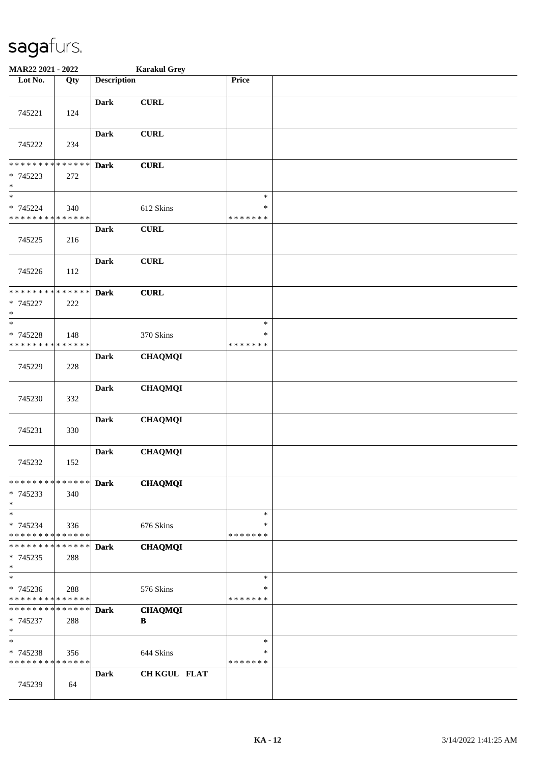| MAR22 2021 - 2022                                   |                    |                    | <b>Karakul Grey</b>            |                                   |  |
|-----------------------------------------------------|--------------------|--------------------|--------------------------------|-----------------------------------|--|
| Lot No.                                             | Qty                | <b>Description</b> |                                | Price                             |  |
| 745221                                              | 124                | <b>Dark</b>        | <b>CURL</b>                    |                                   |  |
| 745222                                              | 234                | <b>Dark</b>        | CURL                           |                                   |  |
| * * * * * * * *<br>* 745223<br>$\ast$               | * * * * * *<br>272 | <b>Dark</b>        | <b>CURL</b>                    |                                   |  |
| $\ast$<br>* 745224<br>* * * * * * * * * * * * * *   | 340                |                    | 612 Skins                      | $\ast$<br>$\ast$<br>* * * * * * * |  |
| 745225                                              | 216                | <b>Dark</b>        | <b>CURL</b>                    |                                   |  |
| 745226                                              | 112                | <b>Dark</b>        | <b>CURL</b>                    |                                   |  |
| * * * * * * * * * * * * * *<br>* 745227<br>$\ast$   | 222                | <b>Dark</b>        | <b>CURL</b>                    |                                   |  |
| $\ast$<br>* 745228<br>* * * * * * * * * * * * * *   | 148                |                    | 370 Skins                      | $\ast$<br>$\ast$<br>* * * * * * * |  |
| 745229                                              | 228                | <b>Dark</b>        | <b>CHAQMQI</b>                 |                                   |  |
| 745230                                              | 332                | <b>Dark</b>        | <b>CHAQMQI</b>                 |                                   |  |
| 745231                                              | 330                | Dark               | <b>CHAQMQI</b>                 |                                   |  |
| 745232                                              | 152                | <b>Dark</b>        | <b>CHAQMQI</b>                 |                                   |  |
| * * * * * * * * * * * * * *<br>$* 745233$<br>$\ast$ | 340                | <b>Dark</b>        | <b>CHAQMQI</b>                 |                                   |  |
| $\ast$<br>* 745234<br>* * * * * * * * * * * * * *   | 336                |                    | 676 Skins                      | $\ast$<br>∗<br>* * * * * * *      |  |
| * * * * * * * *<br>$* 745235$<br>$\ast$             | * * * * * *<br>288 | <b>Dark</b>        | <b>CHAQMQI</b>                 |                                   |  |
| $\ast$<br>* 745236<br>* * * * * * * * * * * * * *   | 288                |                    | 576 Skins                      | $\ast$<br>∗<br>* * * * * * *      |  |
| * * * * * * * * * * * * * *<br>* 745237<br>$\ast$   | 288                | <b>Dark</b>        | <b>CHAQMQI</b><br>$\, {\bf B}$ |                                   |  |
| $\ast$<br>* 745238<br>* * * * * * * * * * * * * *   | 356                |                    | 644 Skins                      | $\ast$<br>∗<br>* * * * * * *      |  |
| 745239                                              | 64                 | <b>Dark</b>        | <b>CH KGUL FLAT</b>            |                                   |  |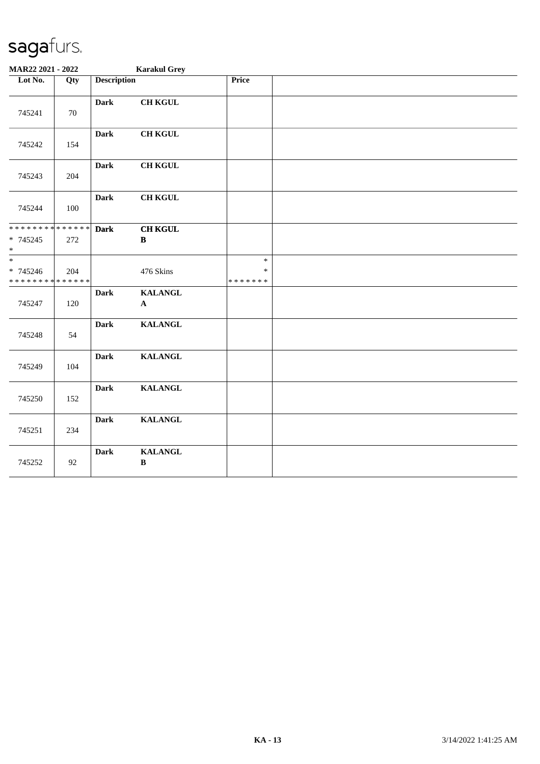| MAR22 2021 - 2022                                   |     |                    | <b>Karakul Grey</b>            |                                   |  |
|-----------------------------------------------------|-----|--------------------|--------------------------------|-----------------------------------|--|
| Lot No.                                             | Qty | <b>Description</b> |                                | Price                             |  |
| 745241                                              | 70  | <b>Dark</b>        | <b>CH KGUL</b>                 |                                   |  |
| 745242                                              | 154 | <b>Dark</b>        | <b>CH KGUL</b>                 |                                   |  |
| 745243                                              | 204 | <b>Dark</b>        | <b>CH KGUL</b>                 |                                   |  |
| 745244                                              | 100 | <b>Dark</b>        | <b>CH KGUL</b>                 |                                   |  |
| * * * * * * * * * * * * * *<br>* 745245<br>$\ast$   | 272 | <b>Dark</b>        | <b>CH KGUL</b><br>$\, {\bf B}$ |                                   |  |
| $\ast$<br>$* 745246$<br>* * * * * * * * * * * * * * | 204 |                    | 476 Skins                      | $\ast$<br>$\ast$<br>* * * * * * * |  |
| 745247                                              | 120 | <b>Dark</b>        | <b>KALANGL</b><br>$\mathbf A$  |                                   |  |
| 745248                                              | 54  | <b>Dark</b>        | <b>KALANGL</b>                 |                                   |  |
| 745249                                              | 104 | <b>Dark</b>        | <b>KALANGL</b>                 |                                   |  |
| 745250                                              | 152 | <b>Dark</b>        | <b>KALANGL</b>                 |                                   |  |
| 745251                                              | 234 | <b>Dark</b>        | <b>KALANGL</b>                 |                                   |  |
| 745252                                              | 92  | Dark               | <b>KALANGL</b><br>$\, {\bf B}$ |                                   |  |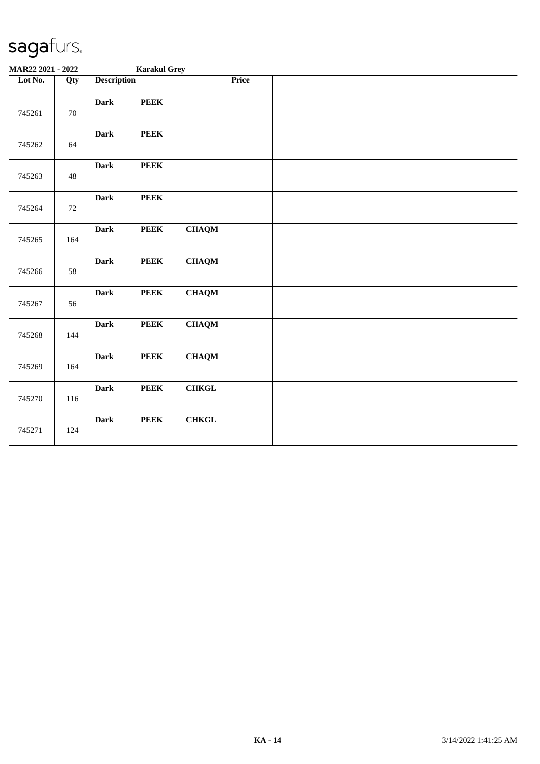| MAR22 2021 - 2022 |        |                    | <b>Karakul Grey</b> |               |              |  |  |
|-------------------|--------|--------------------|---------------------|---------------|--------------|--|--|
| Lot No.           | Qty    | <b>Description</b> |                     |               | <b>Price</b> |  |  |
| 745261            | $70\,$ | <b>Dark</b>        | <b>PEEK</b>         |               |              |  |  |
| 745262            | 64     | <b>Dark</b>        | <b>PEEK</b>         |               |              |  |  |
| 745263            | 48     | <b>Dark</b>        | <b>PEEK</b>         |               |              |  |  |
| 745264            | 72     | <b>Dark</b>        | <b>PEEK</b>         |               |              |  |  |
| 745265            | 164    | <b>Dark</b>        | <b>PEEK</b>         | <b>CHAQM</b>  |              |  |  |
| 745266            | 58     | <b>Dark</b>        | <b>PEEK</b>         | <b>CHAQM</b>  |              |  |  |
| 745267            | 56     | <b>Dark</b>        | ${\bf PEEK}$        | ${\bf CHAQM}$ |              |  |  |
| 745268            | 144    | <b>Dark</b>        | <b>PEEK</b>         | <b>CHAQM</b>  |              |  |  |
| 745269            | 164    | <b>Dark</b>        | <b>PEEK</b>         | <b>CHAQM</b>  |              |  |  |
| 745270            | 116    | <b>Dark</b>        | <b>PEEK</b>         | ${\bf CHKGL}$ |              |  |  |
| 745271            | 124    | <b>Dark</b>        | <b>PEEK</b>         | <b>CHKGL</b>  |              |  |  |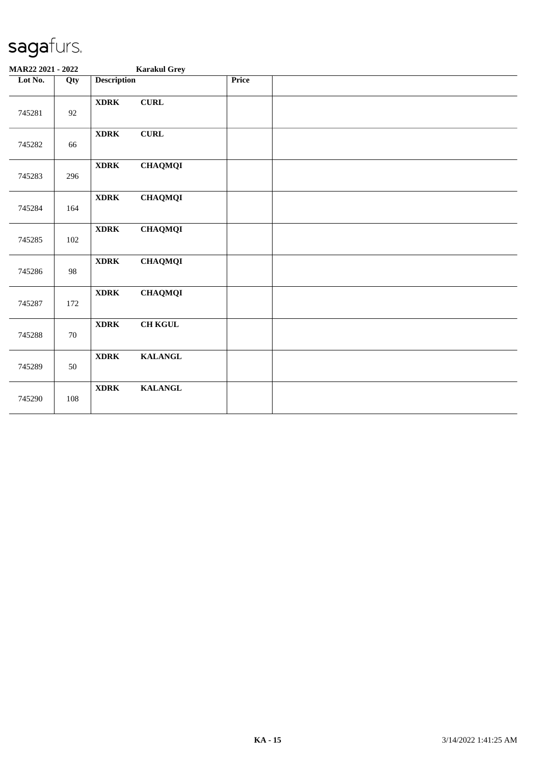| MAR22 2021 - 2022 |        |                    | <b>Karakul Grey</b> |       |  |
|-------------------|--------|--------------------|---------------------|-------|--|
| Lot No.           | Qty    | <b>Description</b> |                     | Price |  |
| 745281            | 92     | <b>XDRK</b>        | <b>CURL</b>         |       |  |
| 745282            | 66     | <b>XDRK</b>        | ${\bf CURL}$        |       |  |
| 745283            | 296    | <b>XDRK</b>        | <b>CHAQMQI</b>      |       |  |
| 745284            | 164    | <b>XDRK</b>        | <b>CHAQMQI</b>      |       |  |
| 745285            | 102    | <b>XDRK</b>        | <b>CHAQMQI</b>      |       |  |
| 745286            | 98     | <b>XDRK</b>        | <b>CHAQMQI</b>      |       |  |
| 745287            | 172    | <b>XDRK</b>        | <b>CHAQMQI</b>      |       |  |
| 745288            | $70\,$ | <b>XDRK</b>        | <b>CH KGUL</b>      |       |  |
| 745289            | 50     | <b>XDRK</b>        | <b>KALANGL</b>      |       |  |
| 745290            | 108    | <b>XDRK</b>        | <b>KALANGL</b>      |       |  |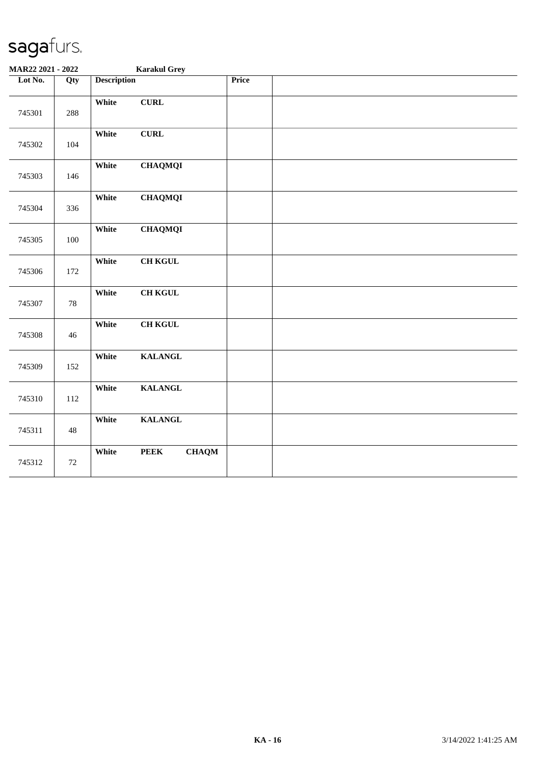| MAR22 2021 - 2022 |        | <b>Karakul Grey</b>                  |              |  |
|-------------------|--------|--------------------------------------|--------------|--|
| Lot No.           | Qty    | <b>Description</b>                   | <b>Price</b> |  |
| 745301            | 288    | ${\bf CURL}$<br>White                |              |  |
| 745302            | 104    | ${\bf CURL}$<br>White                |              |  |
| 745303            | 146    | White<br><b>CHAQMQI</b>              |              |  |
| 745304            | 336    | White<br><b>CHAQMQI</b>              |              |  |
| 745305            | 100    | White<br><b>CHAQMQI</b>              |              |  |
| 745306            | 172    | <b>CH KGUL</b><br>White              |              |  |
| 745307            | 78     | <b>CH KGUL</b><br>White              |              |  |
| 745308            | 46     | <b>CH KGUL</b><br>White              |              |  |
| 745309            | 152    | White<br><b>KALANGL</b>              |              |  |
| 745310            | 112    | <b>KALANGL</b><br>White              |              |  |
| 745311            | $48\,$ | <b>KALANGL</b><br>White              |              |  |
| 745312            | 72     | White<br><b>PEEK</b><br><b>CHAQM</b> |              |  |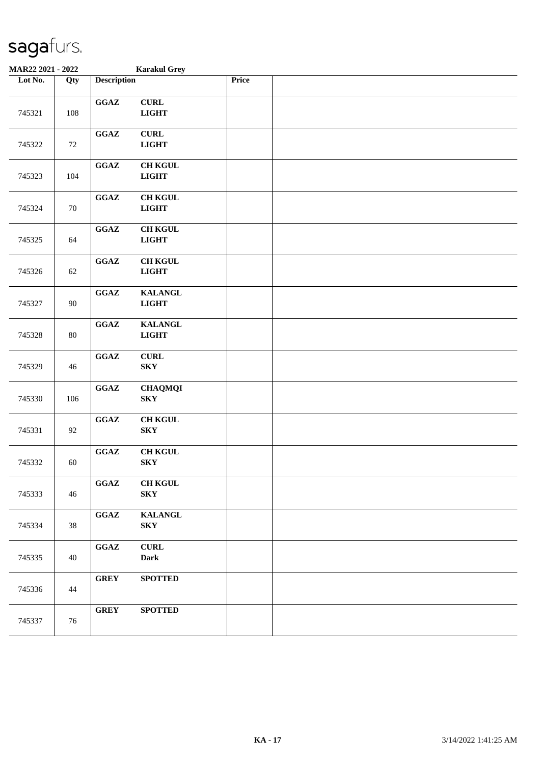| MAR22 2021 - 2022 |     |                                            | <b>Karakul Grey</b>                       |       |  |
|-------------------|-----|--------------------------------------------|-------------------------------------------|-------|--|
| Lot No.           | Qty | <b>Description</b>                         |                                           | Price |  |
| 745321            | 108 | $\mathbf{G}\mathbf{G}\mathbf{A}\mathbf{Z}$ | ${\bf CURL}$<br><b>LIGHT</b>              |       |  |
| 745322            | 72  | $\mathbf{G}\mathbf{G}\mathbf{A}\mathbf{Z}$ | ${\bf CURL}$<br><b>LIGHT</b>              |       |  |
| 745323            | 104 | $\mathbf{G}\mathbf{G}\mathbf{A}\mathbf{Z}$ | <b>CH KGUL</b><br><b>LIGHT</b>            |       |  |
| 745324            | 70  | $\mathbf{G}\mathbf{G}\mathbf{A}\mathbf{Z}$ | <b>CH KGUL</b><br>$_{\rm LIGHT}$          |       |  |
| 745325            | 64  | $\mathbf{G}\mathbf{G}\mathbf{A}\mathbf{Z}$ | <b>CH KGUL</b><br>$_{\rm LIGHT}$          |       |  |
| 745326            | 62  | $\mathbf{G}\mathbf{G}\mathbf{A}\mathbf{Z}$ | <b>CH KGUL</b><br><b>LIGHT</b>            |       |  |
| 745327            | 90  | GGAZ                                       | <b>KALANGL</b><br>$_{\rm LIGHT}$          |       |  |
| 745328            | 80  | $\mathbf{G}\mathbf{G}\mathbf{A}\mathbf{Z}$ | <b>KALANGL</b><br><b>LIGHT</b>            |       |  |
| 745329            | 46  | $\mathbf{G}\mathbf{G}\mathbf{A}\mathbf{Z}$ | <b>CURL</b><br>${\bf S}{\bf K}{\bf Y}$    |       |  |
| 745330            | 106 | $\mathbf{G}\mathbf{G}\mathbf{A}\mathbf{Z}$ | <b>CHAQMQI</b><br><b>SKY</b>              |       |  |
| 745331            | 92  | $\mathbf{G}\mathbf{G}\mathbf{A}\mathbf{Z}$ | <b>CH KGUL</b><br><b>SKY</b>              |       |  |
| 745332            | 60  | $\mathbf{G}\mathbf{G}\mathbf{A}\mathbf{Z}$ | <b>CH KGUL</b><br><b>SKY</b>              |       |  |
| 745333            | 46  | $\mathbf{G}\mathbf{G}\mathbf{A}\mathbf{Z}$ | <b>CH KGUL</b><br><b>SKY</b>              |       |  |
| 745334            | 38  | $\mathbf{G}\mathbf{G}\mathbf{A}\mathbf{Z}$ | <b>KALANGL</b><br>${\bf S}{\bf K}{\bf Y}$ |       |  |
| 745335            | 40  | $\mathbf{G}\mathbf{G}\mathbf{A}\mathbf{Z}$ | <b>CURL</b><br><b>Dark</b>                |       |  |
| 745336            | 44  | <b>GREY</b>                                | <b>SPOTTED</b>                            |       |  |
| 745337            | 76  | <b>GREY</b>                                | <b>SPOTTED</b>                            |       |  |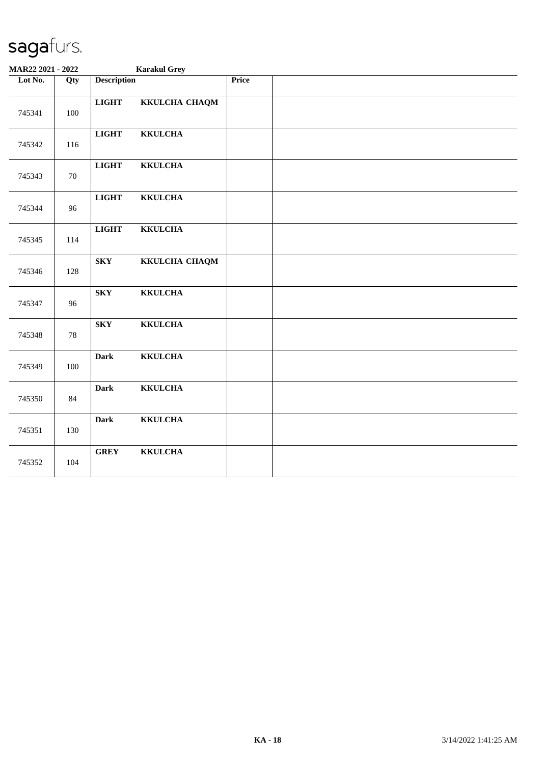| MAR22 2021 - 2022 |     | <b>Karakul Grey</b>            |              |
|-------------------|-----|--------------------------------|--------------|
| Lot No.           | Qty | <b>Description</b>             | <b>Price</b> |
| 745341            | 100 | <b>LIGHT</b><br>KKULCHA CHAQM  |              |
| 745342            | 116 | <b>LIGHT</b><br><b>KKULCHA</b> |              |
| 745343            | 70  | <b>LIGHT</b><br><b>KKULCHA</b> |              |
| 745344            | 96  | <b>LIGHT</b><br><b>KKULCHA</b> |              |
| 745345            | 114 | <b>LIGHT</b><br><b>KKULCHA</b> |              |
| 745346            | 128 | <b>SKY</b><br>KKULCHA CHAQM    |              |
| 745347            | 96  | <b>KKULCHA</b><br><b>SKY</b>   |              |
| 745348            | 78  | <b>KKULCHA</b><br><b>SKY</b>   |              |
| 745349            | 100 | <b>KKULCHA</b><br><b>Dark</b>  |              |
| 745350            | 84  | <b>KKULCHA</b><br><b>Dark</b>  |              |
| 745351            | 130 | <b>KKULCHA</b><br><b>Dark</b>  |              |
| 745352            | 104 | <b>GREY</b><br><b>KKULCHA</b>  |              |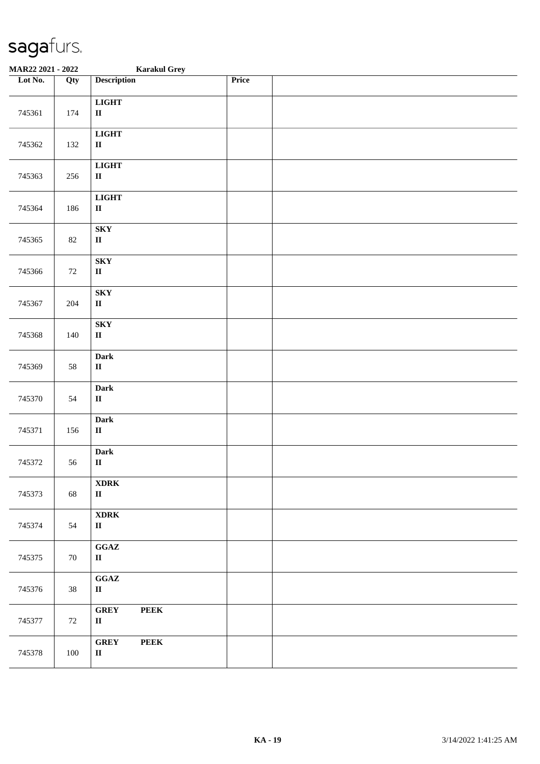| MAR22 2021 - 2022 |     | <b>Karakul Grey</b>                                        |       |
|-------------------|-----|------------------------------------------------------------|-------|
| Lot No.           | Qty | <b>Description</b>                                         | Price |
| 745361            | 174 | <b>LIGHT</b><br>$\mathbf{I}\mathbf{I}$                     |       |
| 745362            | 132 | <b>LIGHT</b><br>$\rm II$                                   |       |
| 745363            | 256 | <b>LIGHT</b><br>$\rm II$                                   |       |
| 745364            | 186 | <b>LIGHT</b><br>$\rm II$                                   |       |
| 745365            | 82  | ${\bf S}{\bf K}{\bf Y}$<br>$\rm II$                        |       |
| 745366            | 72  | ${\bf S}{\bf K}{\bf Y}$<br>$\, {\bf II}$                   |       |
| 745367            | 204 | ${\bf S}{\bf K}{\bf Y}$<br>$\mathbf{I}\mathbf{I}$          |       |
| 745368            | 140 | ${\bf S}{\bf K}{\bf Y}$<br>$\rm II$                        |       |
| 745369            | 58  | Dark<br>$\rm II$                                           |       |
| 745370            | 54  | Dark<br>$\rm II$                                           |       |
| 745371            | 156 | <b>Dark</b><br>$\rm II$                                    |       |
| 745372            | 56  | Dark<br>$\rm II$                                           |       |
| 745373            | 68  | <b>XDRK</b><br>$\mathbf{I}\mathbf{I}$                      |       |
| 745374            | 54  | <b>XDRK</b><br>$\mathbf{I}\mathbf{I}$                      |       |
| 745375            | 70  | $\mathbf{G}\mathbf{G}\mathbf{A}\mathbf{Z}$<br>$\mathbf{I}$ |       |
| 745376            | 38  | $\mathbf{G}\mathbf{G}\mathbf{A}\mathbf{Z}$<br>$\mathbf{I}$ |       |
| 745377            | 72  | <b>GREY</b><br><b>PEEK</b><br>$\mathbf{I}$                 |       |
| 745378            | 100 | <b>GREY</b><br><b>PEEK</b><br>$\mathbf H$                  |       |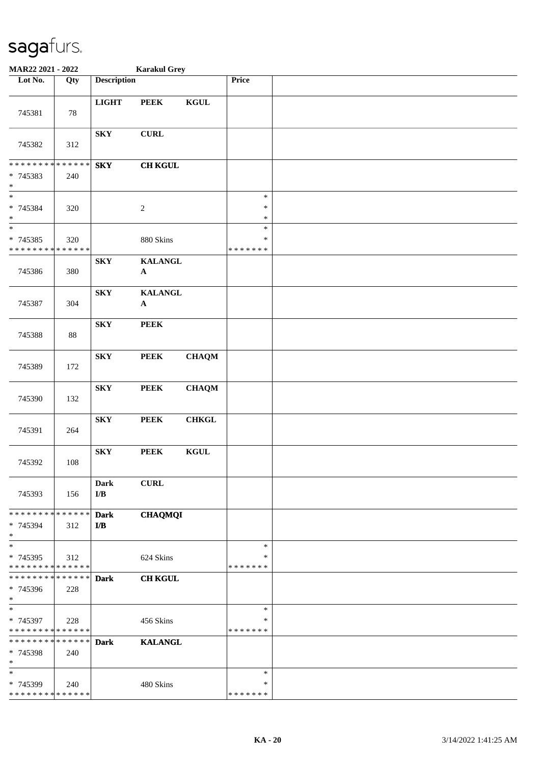| MAR22 2021 - 2022                                                  |        |                         | <b>Karakul Grey</b>         |                 |                                   |  |
|--------------------------------------------------------------------|--------|-------------------------|-----------------------------|-----------------|-----------------------------------|--|
| Lot No.                                                            | Qty    | <b>Description</b>      |                             |                 | Price                             |  |
| 745381                                                             | 78     | <b>LIGHT</b>            | <b>PEEK</b>                 | <b>KGUL</b>     |                                   |  |
| 745382                                                             | 312    | <b>SKY</b>              | <b>CURL</b>                 |                 |                                   |  |
| * * * * * * * * * * * * * *<br>* 745383<br>$\ast$                  | 240    | ${\bf S}{\bf K}{\bf Y}$ | <b>CH KGUL</b>              |                 |                                   |  |
| $\overline{\phantom{a}^*}$<br>* 745384<br>$\ast$                   | 320    |                         | $\boldsymbol{2}$            |                 | $\ast$<br>$\ast$<br>$\ast$        |  |
| $\ast$<br>$* 745385$<br>* * * * * * * * <mark>* * * * * * *</mark> | 320    |                         | 880 Skins                   |                 | $\ast$<br>$\ast$<br>* * * * * * * |  |
| 745386                                                             | 380    | <b>SKY</b>              | <b>KALANGL</b><br>${\bf A}$ |                 |                                   |  |
| 745387                                                             | 304    | ${\bf S}{\bf K}{\bf Y}$ | <b>KALANGL</b><br>${\bf A}$ |                 |                                   |  |
| 745388                                                             | $88\,$ | <b>SKY</b>              | <b>PEEK</b>                 |                 |                                   |  |
| 745389                                                             | 172    | ${\bf S}{\bf K}{\bf Y}$ | <b>PEEK</b>                 | <b>CHAQM</b>    |                                   |  |
| 745390                                                             | 132    | ${\bf S}{\bf K}{\bf Y}$ | <b>PEEK</b>                 | <b>CHAQM</b>    |                                   |  |
| 745391                                                             | 264    | ${\bf S}{\bf K}{\bf Y}$ | <b>PEEK</b>                 | <b>CHKGL</b>    |                                   |  |
| 745392                                                             | 108    | ${\bf S}{\bf K}{\bf Y}$ | <b>PEEK</b>                 | $\mathbf{KGUL}$ |                                   |  |
| 745393                                                             | 156    | <b>Dark</b><br>I/B      | <b>CURL</b>                 |                 |                                   |  |
| * * * * * * * * * * * * * *<br>* 745394<br>$*$                     | 312    | <b>Dark</b><br>I/B      | <b>CHAQMQI</b>              |                 |                                   |  |
| $\ast$<br>* 745395<br>* * * * * * * * * * * * * *                  | 312    |                         | 624 Skins                   |                 | $\ast$<br>∗<br>* * * * * * *      |  |
| * * * * * * * * * * * * * *<br>* 745396<br>$*$                     | 228    | <b>Dark</b>             | <b>CH KGUL</b>              |                 |                                   |  |
| $\ast$<br>* 745397<br>* * * * * * * * * * * * * *                  | 228    |                         | 456 Skins                   |                 | $\ast$<br>∗<br>* * * * * * *      |  |
| * * * * * * * * * * * * * *<br>* 745398<br>$\ast$                  | 240    | <b>Dark</b>             | <b>KALANGL</b>              |                 |                                   |  |
| $\ast$<br>* 745399<br>* * * * * * * * * * * * * *                  | 240    |                         | 480 Skins                   |                 | $\ast$<br>∗<br>* * * * * * *      |  |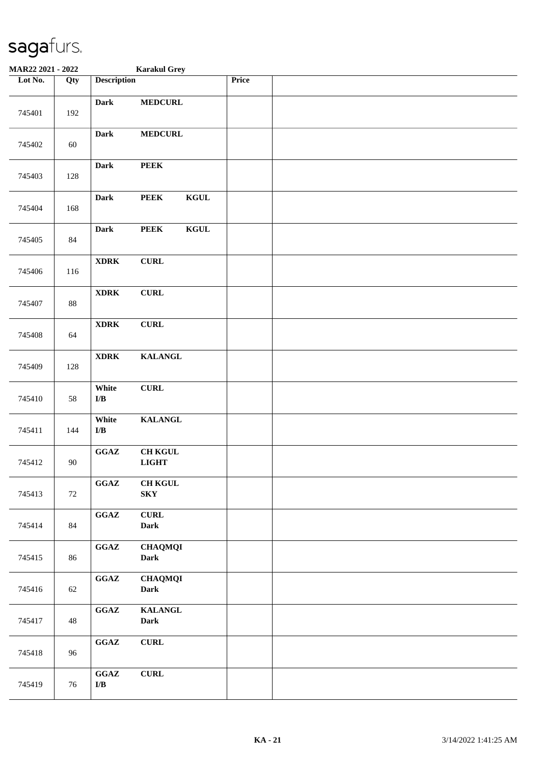| <b>MAR22 2021 - 2022</b> |        |                                                           | <b>Karakul Grey</b>            |       |  |
|--------------------------|--------|-----------------------------------------------------------|--------------------------------|-------|--|
| Lot No.                  | Qty    | <b>Description</b>                                        |                                | Price |  |
| 745401                   | 192    | <b>Dark</b>                                               | <b>MEDCURL</b>                 |       |  |
| 745402                   | 60     | <b>Dark</b>                                               | <b>MEDCURL</b>                 |       |  |
| 745403                   | 128    | <b>Dark</b>                                               | <b>PEEK</b>                    |       |  |
| 745404                   | 168    | <b>Dark</b>                                               | <b>KGUL</b><br><b>PEEK</b>     |       |  |
| 745405                   | 84     | <b>Dark</b>                                               | $\mathbf{KGUL}$<br><b>PEEK</b> |       |  |
| 745406                   | 116    | $\bold{XDRK}$                                             | ${\bf CURL}$                   |       |  |
| 745407                   | $88\,$ | $\bold{XDRK}$                                             | ${\bf CURL}$                   |       |  |
| 745408                   | 64     | $\bold{XDRK}$                                             | ${\bf CURL}$                   |       |  |
| 745409                   | 128    | $\bold{XDRK}$                                             | <b>KALANGL</b>                 |       |  |
| 745410                   | 58     | White<br>${\bf I/B}$                                      | ${\bf CURL}$                   |       |  |
| 745411                   | 144    | White<br>${\bf I/B}$                                      | <b>KALANGL</b>                 |       |  |
| 745412                   | 90     | GGAZ                                                      | <b>CH KGUL</b><br><b>LIGHT</b> |       |  |
| 745413                   | 72     | $\mathbf{G}\mathbf{G}\mathbf{A}\mathbf{Z}$                | <b>CH KGUL</b><br><b>SKY</b>   |       |  |
| 745414                   | 84     | $\mathbf{G}\mathbf{G}\mathbf{A}\mathbf{Z}$                | ${\bf CURL}$<br>Dark           |       |  |
| 745415                   | 86     | $\mathbf{G}\mathbf{G}\mathbf{A}\mathbf{Z}$                | <b>CHAQMQI</b><br><b>Dark</b>  |       |  |
| 745416                   | 62     | $\mathbf{G}\mathbf{G}\mathbf{A}\mathbf{Z}$                | <b>CHAQMQI</b><br><b>Dark</b>  |       |  |
| 745417                   | 48     | $\mathbf{G}\mathbf{G}\mathbf{A}\mathbf{Z}$                | <b>KALANGL</b><br>Dark         |       |  |
| 745418                   | 96     | $\mathbf{G}\mathbf{G}\mathbf{A}\mathbf{Z}$                | ${\bf CURL}$                   |       |  |
| 745419                   | 76     | $\mathbf{G}\mathbf{G}\mathbf{A}\mathbf{Z}$<br>${\bf I/B}$ | ${\bf CURL}$                   |       |  |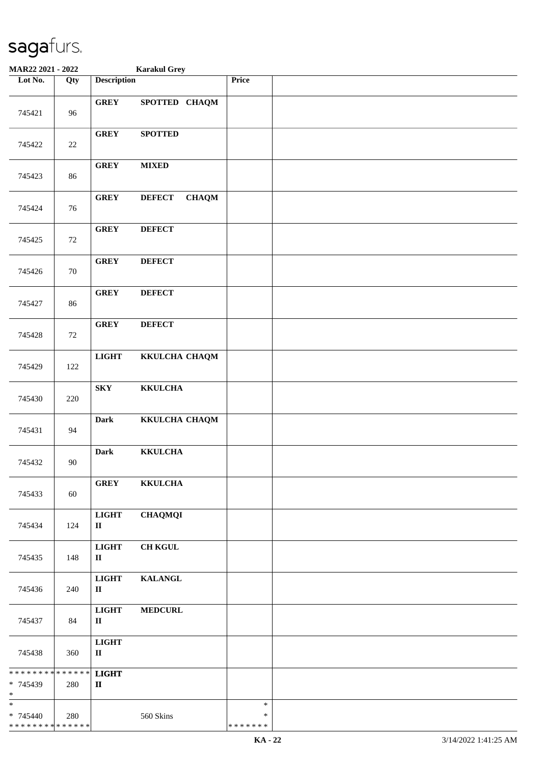| <b>MAR22 2021 - 2022</b>                                      |                   |                              | <b>Karakul Grey</b>           |                              |  |
|---------------------------------------------------------------|-------------------|------------------------------|-------------------------------|------------------------------|--|
| Lot No.                                                       | $\overline{Q}$ ty | <b>Description</b>           |                               | <b>Price</b>                 |  |
| 745421                                                        | 96                | <b>GREY</b>                  | SPOTTED CHAQM                 |                              |  |
| 745422                                                        | $22\,$            | <b>GREY</b>                  | <b>SPOTTED</b>                |                              |  |
| 745423                                                        | 86                | <b>GREY</b>                  | <b>MIXED</b>                  |                              |  |
| 745424                                                        | 76                | <b>GREY</b>                  | <b>DEFECT</b><br><b>CHAQM</b> |                              |  |
| 745425                                                        | 72                | <b>GREY</b>                  | <b>DEFECT</b>                 |                              |  |
| 745426                                                        | 70                | <b>GREY</b>                  | <b>DEFECT</b>                 |                              |  |
| 745427                                                        | 86                | <b>GREY</b>                  | <b>DEFECT</b>                 |                              |  |
| 745428                                                        | 72                | <b>GREY</b>                  | <b>DEFECT</b>                 |                              |  |
| 745429                                                        | 122               | <b>LIGHT</b>                 | KKULCHA CHAQM                 |                              |  |
| 745430                                                        | 220               | ${\bf S}{\bf K}{\bf Y}$      | <b>KKULCHA</b>                |                              |  |
| 745431                                                        | 94                | Dark                         | KKULCHA CHAQM                 |                              |  |
| 745432                                                        | 90                | <b>Dark</b>                  | <b>KKULCHA</b>                |                              |  |
| 745433                                                        | 60                | <b>GREY</b>                  | <b>KKULCHA</b>                |                              |  |
| 745434                                                        | 124               | <b>LIGHT</b><br>$\mathbf{I}$ | <b>CHAQMQI</b>                |                              |  |
| 745435                                                        | 148               | <b>LIGHT</b><br>П            | <b>CH KGUL</b>                |                              |  |
| 745436                                                        | 240               | <b>LIGHT</b><br>П            | <b>KALANGL</b>                |                              |  |
| 745437                                                        | 84                | <b>LIGHT</b><br>$\mathbf{I}$ | <b>MEDCURL</b>                |                              |  |
| 745438                                                        | 360               | <b>LIGHT</b><br>$\mathbf{I}$ |                               |                              |  |
| * * * * * * * * <mark>* * * * * * *</mark><br>* 745439<br>$*$ | 280               | <b>LIGHT</b><br>$\mathbf{I}$ |                               |                              |  |
| $\ast$<br>* 745440<br>* * * * * * * * * * * * * *             | 280               |                              | 560 Skins                     | $\ast$<br>∗<br>* * * * * * * |  |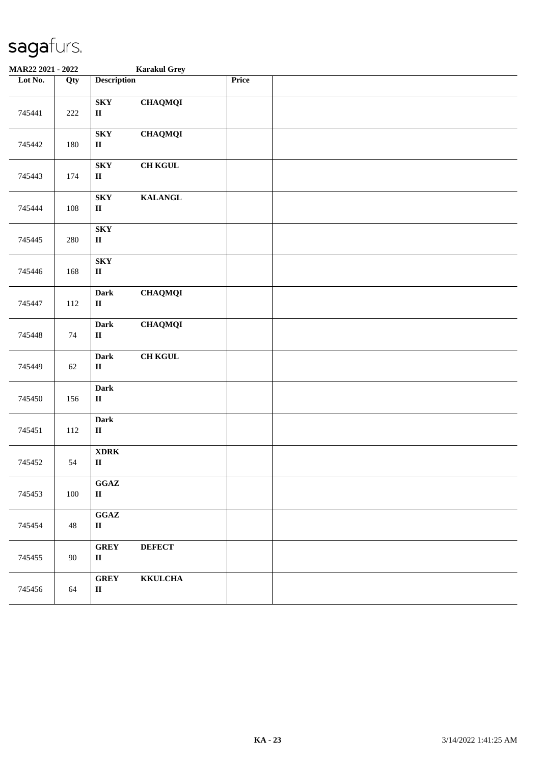| MAR22 2021 - 2022 |         |                                                            | <b>Karakul Grey</b> |       |  |  |
|-------------------|---------|------------------------------------------------------------|---------------------|-------|--|--|
| Lot No.           | Qty     | <b>Description</b>                                         |                     | Price |  |  |
| 745441            | 222     | <b>SKY</b><br>$\rm II$                                     | <b>CHAQMQI</b>      |       |  |  |
| 745442            | 180     | <b>SKY</b><br>$\mathbf{I}\mathbf{I}$                       | <b>CHAQMQI</b>      |       |  |  |
| 745443            | 174     | ${\bf S}{\bf K}{\bf Y}$<br>$\rm II$                        | <b>CH KGUL</b>      |       |  |  |
| 745444            | 108     | <b>SKY</b><br>$\rm II$                                     | <b>KALANGL</b>      |       |  |  |
| 745445            | $280\,$ | ${\bf S}{\bf K}{\bf Y}$<br>$\rm II$                        |                     |       |  |  |
| 745446            | 168     | ${\bf S}{\bf K}{\bf Y}$<br>$\rm II$                        |                     |       |  |  |
| 745447            | 112     | <b>Dark</b><br>$\mathbf{I}\mathbf{I}$                      | <b>CHAQMQI</b>      |       |  |  |
| 745448            | $74\,$  | <b>Dark</b><br>$\rm II$                                    | <b>CHAQMQI</b>      |       |  |  |
| 745449            | 62      | <b>Dark</b><br>$\mathbf{I}\mathbf{I}$                      | <b>CH KGUL</b>      |       |  |  |
| 745450            | 156     | <b>Dark</b><br>$\mathbf H$                                 |                     |       |  |  |
| 745451            | 112     | <b>Dark</b><br>$\mathbf H$                                 |                     |       |  |  |
| 745452            | 54      | $\bold{XDRK}$<br>$\rm II$                                  |                     |       |  |  |
| 745453            | 100     | GGAZ<br>$\mathbf{I}\mathbf{I}$                             |                     |       |  |  |
| 745454            | 48      | $\mathbf{G}\mathbf{G}\mathbf{A}\mathbf{Z}$<br>$\mathbf{I}$ |                     |       |  |  |
| 745455            | 90      | <b>GREY</b><br>$\mathbf{I}\mathbf{I}$                      | <b>DEFECT</b>       |       |  |  |
| 745456            | 64      | <b>GREY</b><br>$\rm II$                                    | <b>KKULCHA</b>      |       |  |  |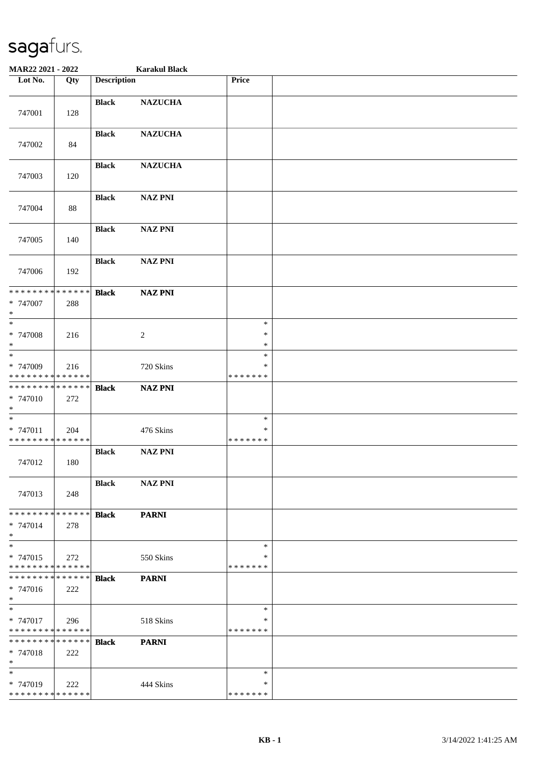| MAR22 2021 - 2022                                  |     |                    | <b>Karakul Black</b> |                                   |  |
|----------------------------------------------------|-----|--------------------|----------------------|-----------------------------------|--|
| Lot No.                                            | Qty | <b>Description</b> |                      | Price                             |  |
| 747001                                             | 128 | <b>Black</b>       | <b>NAZUCHA</b>       |                                   |  |
| 747002                                             | 84  | <b>Black</b>       | <b>NAZUCHA</b>       |                                   |  |
| 747003                                             | 120 | <b>Black</b>       | <b>NAZUCHA</b>       |                                   |  |
| 747004                                             | 88  | <b>Black</b>       | <b>NAZ PNI</b>       |                                   |  |
| 747005                                             | 140 | <b>Black</b>       | <b>NAZ PNI</b>       |                                   |  |
| 747006                                             | 192 | <b>Black</b>       | <b>NAZ PNI</b>       |                                   |  |
| ******** <mark>******</mark><br>* 747007<br>$*$    | 288 | <b>Black</b>       | <b>NAZ PNI</b>       |                                   |  |
| $\ast$<br>* 747008<br>$*$                          | 216 |                    | $\boldsymbol{2}$     | $\ast$<br>$\ast$<br>$\ast$        |  |
| $*$<br>* 747009<br>* * * * * * * * * * * * * *     | 216 |                    | 720 Skins            | $\ast$<br>*<br>* * * * * * *      |  |
| * * * * * * * * * * * * * *<br>* 747010<br>$\ast$  | 272 | <b>Black</b>       | <b>NAZ PNI</b>       |                                   |  |
| $\ast$<br>* 747011<br>* * * * * * * * * * * * * *  | 204 |                    | 476 Skins            | $\ast$<br>$\ast$<br>* * * * * * * |  |
| 747012                                             | 180 | <b>Black</b>       | <b>NAZ PNI</b>       |                                   |  |
| 747013                                             | 248 | <b>Black</b>       | <b>NAZ PNI</b>       |                                   |  |
| * * * * * * * * * * * * * * *<br>* 747014<br>$*$   | 278 | <b>Black</b>       | <b>PARNI</b>         |                                   |  |
| $*$<br>* 747015<br>* * * * * * * * * * * * * *     | 272 |                    | 550 Skins            | $\ast$<br>∗<br>* * * * * * *      |  |
| * * * * * * * * * * * * * * *<br>* 747016<br>$*$   | 222 | <b>Black</b>       | <b>PARNI</b>         |                                   |  |
| $\ast$<br>* 747017<br>* * * * * * * * * * * * * *  | 296 |                    | 518 Skins            | $\ast$<br>$\ast$<br>* * * * * * * |  |
| * * * * * * * * * * * * * * *<br>$* 747018$<br>$*$ | 222 | <b>Black</b>       | <b>PARNI</b>         |                                   |  |
| $*$<br>* 747019<br>* * * * * * * * * * * * * *     | 222 |                    | 444 Skins            | $\ast$<br>*<br>* * * * * * *      |  |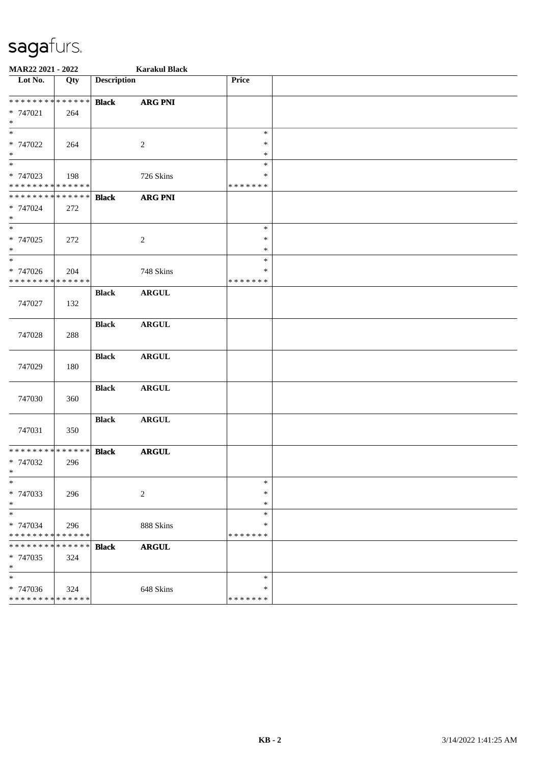| MAR22 2021 - 2022                       |                    |                    | <b>Karakul Black</b> |                         |  |  |  |  |
|-----------------------------------------|--------------------|--------------------|----------------------|-------------------------|--|--|--|--|
| $\overline{\phantom{1}}$ Lot No.        | Qty                | <b>Description</b> |                      | Price                   |  |  |  |  |
| * * * * * * * * * * * * * *             |                    | <b>Black</b>       | <b>ARG PNI</b>       |                         |  |  |  |  |
| * 747021<br>$\ast$                      | 264                |                    |                      |                         |  |  |  |  |
| $\overline{\phantom{a}}$                |                    |                    |                      | $\ast$                  |  |  |  |  |
| * 747022<br>$*$                         | 264                |                    | $\sqrt{2}$           | $\ast$<br>$\ast$        |  |  |  |  |
| $\ast$                                  |                    |                    |                      | $\ast$                  |  |  |  |  |
| * 747023<br>* * * * * * * * * * * * * * | 198                |                    | 726 Skins            | $\ast$<br>* * * * * * * |  |  |  |  |
| * * * * * * * * * * * * * *             |                    | <b>Black</b>       | <b>ARG PNI</b>       |                         |  |  |  |  |
| * 747024<br>$\ast$                      | 272                |                    |                      |                         |  |  |  |  |
| $\overline{\phantom{0}}$                |                    |                    |                      | $\ast$                  |  |  |  |  |
| * 747025<br>$\ast$                      | 272                |                    | $\overline{c}$       | $\ast$<br>$\ast$        |  |  |  |  |
| $\overline{\phantom{a}^*}$              |                    |                    |                      | $\ast$                  |  |  |  |  |
| * 747026                                | 204                |                    | 748 Skins            | $\ast$                  |  |  |  |  |
| * * * * * * * * * * * * * *             |                    |                    |                      | * * * * * * *           |  |  |  |  |
| 747027                                  | 132                | <b>Black</b>       | <b>ARGUL</b>         |                         |  |  |  |  |
|                                         |                    | <b>Black</b>       | <b>ARGUL</b>         |                         |  |  |  |  |
| 747028                                  | 288                |                    |                      |                         |  |  |  |  |
|                                         |                    | <b>Black</b>       | <b>ARGUL</b>         |                         |  |  |  |  |
| 747029                                  | 180                |                    |                      |                         |  |  |  |  |
| 747030                                  | 360                | <b>Black</b>       | <b>ARGUL</b>         |                         |  |  |  |  |
|                                         |                    | <b>Black</b>       | <b>ARGUL</b>         |                         |  |  |  |  |
| 747031                                  | 350                |                    |                      |                         |  |  |  |  |
| * * * * * * * * * * * * * *             |                    | <b>Black</b>       | <b>ARGUL</b>         |                         |  |  |  |  |
| * 747032<br>$\star$                     | 296                |                    |                      |                         |  |  |  |  |
| $\ast$                                  |                    |                    |                      | $\ast$                  |  |  |  |  |
| * 747033<br>$\ast$                      | 296                |                    | $\overline{c}$       | $\ast$<br>$\ast$        |  |  |  |  |
| $\ast$                                  |                    |                    |                      | $\ast$                  |  |  |  |  |
| * 747034<br>* * * * * * * *             | 296<br>* * * * * * |                    | 888 Skins            | $\ast$<br>* * * * * * * |  |  |  |  |
| * * * * * * *                           | * * * * * *        | <b>Black</b>       | <b>ARGUL</b>         |                         |  |  |  |  |
| * 747035<br>$\ast$                      | 324                |                    |                      |                         |  |  |  |  |
| $\ast$                                  |                    |                    |                      | $\ast$                  |  |  |  |  |
| * 747036                                | 324                |                    | 648 Skins            | ∗                       |  |  |  |  |
| * * * * * * * * * * * * * *             |                    |                    |                      | * * * * * * *           |  |  |  |  |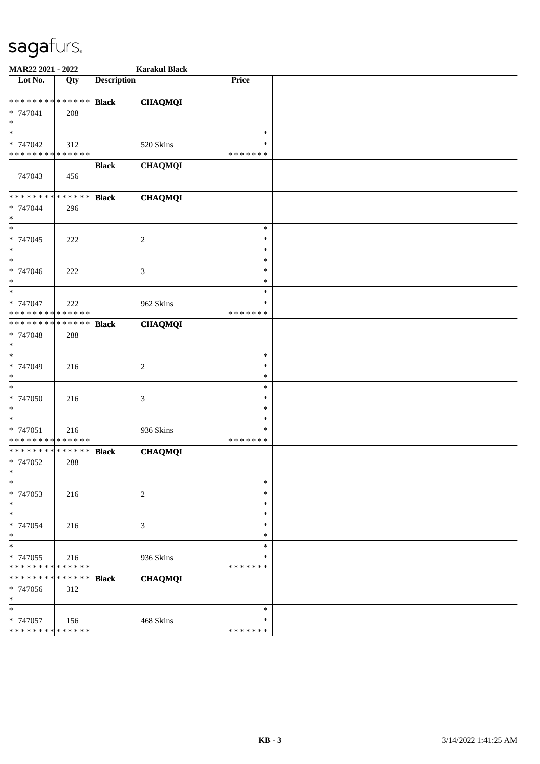| MAR22 2021 - 2022                    |             |                    | <b>Karakul Black</b> |                  |  |
|--------------------------------------|-------------|--------------------|----------------------|------------------|--|
| Lot No.                              | Qty         | <b>Description</b> |                      | Price            |  |
| * * * * * * * * * * * * * *          |             | <b>Black</b>       | <b>CHAQMQI</b>       |                  |  |
| $* 747041$                           | 208         |                    |                      |                  |  |
| $\ast$                               |             |                    |                      |                  |  |
| $\ast$                               |             |                    |                      | $\ast$           |  |
| * 747042                             | 312         |                    | 520 Skins            | ∗                |  |
| * * * * * * * * * * * * * *          |             |                    |                      | * * * * * * *    |  |
| 747043                               | 456         | <b>Black</b>       | <b>CHAQMQI</b>       |                  |  |
| * * * * * * * * * * * * * *          |             | <b>Black</b>       | <b>CHAQMQI</b>       |                  |  |
| * 747044<br>$\ast$                   | 296         |                    |                      |                  |  |
| $\ast$                               |             |                    |                      | $\ast$           |  |
| * 747045                             | 222         |                    | $\overline{2}$       | $\ast$<br>$\ast$ |  |
| $\ast$<br>$\overline{\phantom{a}^*}$ |             |                    |                      | $\ast$           |  |
| * 747046                             | 222         |                    | 3                    | $\ast$           |  |
| $\ast$                               |             |                    |                      | $\ast$           |  |
| $_{\ast}$                            |             |                    |                      | $\ast$           |  |
| * 747047                             | 222         |                    | 962 Skins            | ∗                |  |
| * * * * * * * * * * * * * *          |             |                    |                      | * * * * * * *    |  |
| * * * * * * * * * * * * * *          |             | <b>Black</b>       | <b>CHAQMQI</b>       |                  |  |
| * 747048<br>$\ast$                   | 288         |                    |                      |                  |  |
| $_{\ast}$                            |             |                    |                      | $\ast$           |  |
| * 747049                             | 216         |                    | $\overline{c}$       | $\ast$           |  |
| $\ast$                               |             |                    |                      | $\ast$<br>$\ast$ |  |
| $\ast$<br>* 747050                   | 216         |                    |                      | $\ast$           |  |
| $\ast$                               |             |                    | 3                    | $\ast$           |  |
| $\ast$                               |             |                    |                      | $\ast$           |  |
| * 747051                             | 216         |                    | 936 Skins            | ∗                |  |
| * * * * * * * * * * * * * *          |             |                    |                      | * * * * * * *    |  |
| **************                       |             | <b>Black</b>       | <b>CHAQMQI</b>       |                  |  |
| * 747052                             | 288         |                    |                      |                  |  |
| $\ast$                               |             |                    |                      |                  |  |
| * 747053                             |             |                    |                      | $\ast$<br>$\ast$ |  |
| $\ast$                               | 216         |                    | $\sqrt{2}$           | $\ast$           |  |
| $\ast$                               |             |                    |                      | $\ast$           |  |
| * 747054                             | 216         |                    | $\mathfrak{Z}$       | $\ast$           |  |
| $\ast$                               |             |                    |                      | $\ast$           |  |
| $\overline{\ast}$                    |             |                    |                      | $\ast$           |  |
| * 747055                             | 216         |                    | 936 Skins            | $\ast$           |  |
| * * * * * * * * * * * * * *          |             |                    |                      | * * * * * * *    |  |
| * * * * * * *                        | * * * * * * | <b>Black</b>       | <b>CHAQMQI</b>       |                  |  |
| * 747056<br>$\ast$                   | 312         |                    |                      |                  |  |
| $\ast$                               |             |                    |                      | $\ast$           |  |
| * 747057                             | 156         |                    | 468 Skins            | ∗                |  |
| * * * * * * * * * * * * * *          |             |                    |                      | * * * * * * *    |  |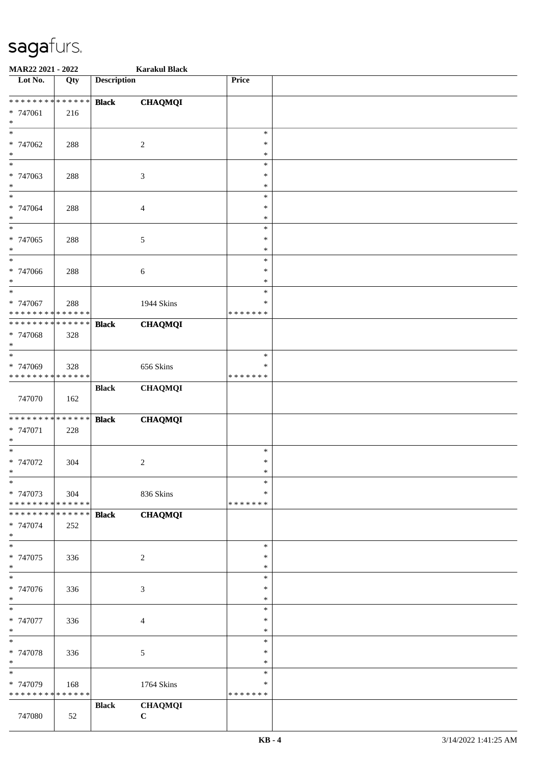| MAR22 2021 - 2022                              |             |                    | <b>Karakul Black</b>        |                  |  |
|------------------------------------------------|-------------|--------------------|-----------------------------|------------------|--|
| Lot No.                                        | Qty         | <b>Description</b> |                             | Price            |  |
| **************                                 |             |                    |                             |                  |  |
| * 747061                                       | 216         | <b>Black</b>       | <b>CHAQMQI</b>              |                  |  |
| $\ast$                                         |             |                    |                             |                  |  |
| $\ast$                                         |             |                    |                             | $\ast$           |  |
| * 747062                                       | 288         |                    | $\sqrt{2}$                  | $\ast$           |  |
| $\ast$                                         |             |                    |                             | $\ast$           |  |
| $_{\ast}$                                      |             |                    |                             | $\ast$           |  |
| * 747063                                       | 288         |                    | $\ensuremath{\mathfrak{Z}}$ | $\ast$           |  |
| $\ast$<br>$\ast$                               |             |                    |                             | $\ast$<br>$\ast$ |  |
| * 747064                                       | 288         |                    | $\overline{4}$              | $\ast$           |  |
| $\ast$                                         |             |                    |                             | $\ast$           |  |
| $\ast$                                         |             |                    |                             | $\ast$           |  |
| * 747065                                       | 288         |                    | $\sqrt{5}$                  | $\ast$           |  |
| $\ast$                                         |             |                    |                             | $\ast$           |  |
| $\ast$                                         |             |                    |                             | $\ast$           |  |
| * 747066<br>$\ast$                             | 288         |                    | $\sqrt{6}$                  | $\ast$<br>$\ast$ |  |
| $\ast$                                         |             |                    |                             | $\ast$           |  |
| * 747067                                       | 288         |                    | 1944 Skins                  | $\ast$           |  |
| * * * * * * * * * * * * * *                    |             |                    |                             | * * * * * * *    |  |
| * * * * * * * * * * * * * *                    |             | <b>Black</b>       | <b>CHAQMQI</b>              |                  |  |
| * 747068                                       | 328         |                    |                             |                  |  |
| $\ast$<br>$\ast$                               |             |                    |                             | $\ast$           |  |
| * 747069                                       | 328         |                    | 656 Skins                   | $\ast$           |  |
| * * * * * * * * * * * * * *                    |             |                    |                             | * * * * * * *    |  |
|                                                |             | <b>Black</b>       | <b>CHAQMQI</b>              |                  |  |
| 747070                                         | 162         |                    |                             |                  |  |
|                                                |             |                    |                             |                  |  |
| * * * * * * * * * * * * * *                    |             | <b>Black</b>       | <b>CHAQMQI</b>              |                  |  |
| * 747071<br>$\ast$                             | 228         |                    |                             |                  |  |
| $\ast$                                         |             |                    |                             | $\ast$           |  |
| * 747072                                       | 304         |                    | $\sqrt{2}$                  | $\ast$           |  |
| $*$                                            |             |                    |                             | $\ast$           |  |
| $\ast$                                         |             |                    |                             | $\ast$           |  |
| * 747073                                       | 304         |                    | 836 Skins                   | ∗                |  |
| * * * * * * * * * * * * * *<br>* * * * * * * * | * * * * * * |                    |                             | * * * * * * *    |  |
| * 747074                                       | 252         | <b>Black</b>       | <b>CHAQMQI</b>              |                  |  |
| $\ast$                                         |             |                    |                             |                  |  |
| $\ast$                                         |             |                    |                             | $\ast$           |  |
| * 747075                                       | 336         |                    | $\sqrt{2}$                  | $\ast$           |  |
| $\ast$<br>$\overline{\ast}$                    |             |                    |                             | $\ast$           |  |
|                                                |             |                    |                             | $\ast$           |  |
| * 747076<br>$*$                                | 336         |                    | $\ensuremath{\mathfrak{Z}}$ | $\ast$<br>$\ast$ |  |
| $\ast$                                         |             |                    |                             | $\ast$           |  |
| * 747077                                       | 336         |                    | $\overline{4}$              | $\ast$           |  |
| $\ast$                                         |             |                    |                             | $\ast$           |  |
| $\ast$                                         |             |                    |                             | $\ast$           |  |
| * 747078                                       | 336         |                    | $\sqrt{5}$                  | $\ast$           |  |
| $\ast$<br>$\ast$                               |             |                    |                             | $\ast$<br>$\ast$ |  |
| * 747079                                       | 168         |                    | 1764 Skins                  | ∗                |  |
| * * * * * * * * * * * * * *                    |             |                    |                             | * * * * * * *    |  |
|                                                |             | <b>Black</b>       | <b>CHAQMQI</b>              |                  |  |
| 747080                                         | 52          |                    | $\mathbf C$                 |                  |  |
|                                                |             |                    |                             |                  |  |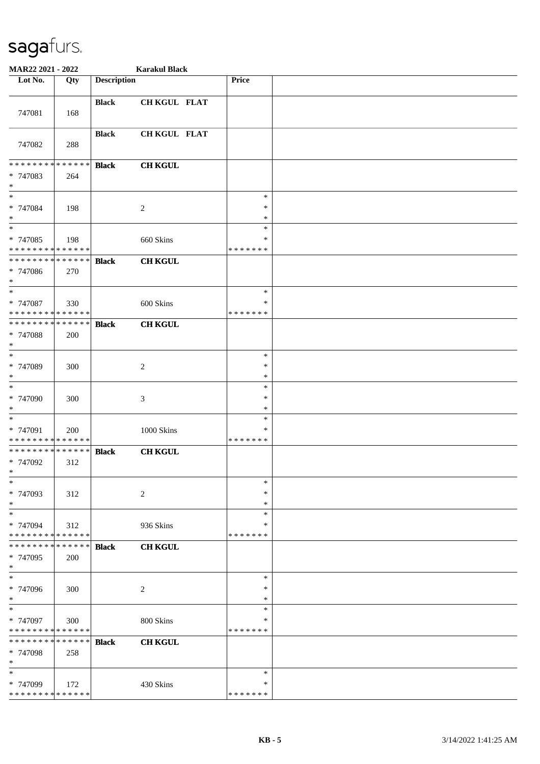| MAR22 2021 - 2022                                 |                    |                    | <b>Karakul Black</b> |                                   |  |
|---------------------------------------------------|--------------------|--------------------|----------------------|-----------------------------------|--|
| Lot No.                                           | Qty                | <b>Description</b> |                      | Price                             |  |
| 747081                                            | 168                | <b>Black</b>       | CH KGUL FLAT         |                                   |  |
| 747082                                            | 288                | <b>Black</b>       | CH KGUL FLAT         |                                   |  |
| * * * * * * * * * * * * * *<br>* 747083<br>$\ast$ | 264                | <b>Black</b>       | <b>CH KGUL</b>       |                                   |  |
| $*$<br>* 747084<br>$*$                            | 198                |                    | $\overline{c}$       | $\ast$<br>$\ast$<br>$\ast$        |  |
| $\ast$<br>* 747085<br>* * * * * * * * * * * * * * | 198                |                    | 660 Skins            | $\ast$<br>$\ast$<br>* * * * * * * |  |
| * * * * * * * * * * * * * *<br>* 747086<br>$*$    | 270                | <b>Black</b>       | <b>CH KGUL</b>       |                                   |  |
| $*$<br>* 747087<br>* * * * * * * * * * * * * *    | 330                |                    | 600 Skins            | $\ast$<br>∗<br>* * * * * * *      |  |
| * * * * * * * * * * * * * *<br>* 747088<br>$\ast$ | 200                | <b>Black</b>       | <b>CH KGUL</b>       |                                   |  |
| $*$<br>* 747089<br>$\ast$                         | 300                |                    | 2                    | $\ast$<br>$\ast$<br>$\ast$        |  |
| $*$<br>* 747090<br>$\ast$                         | 300                |                    | $\mathfrak{Z}$       | $\ast$<br>∗<br>$\ast$             |  |
| $\ast$<br>* 747091<br>* * * * * * * * * * * * * * | 200                |                    | $1000$ Skins         | $\ast$<br>$\ast$<br>* * * * * * * |  |
| * * * * * * * * * * * * * *<br>* 747092<br>$*$    | 312                | <b>Black</b>       | <b>CH KGUL</b>       |                                   |  |
| $*$<br>* 747093<br>$*$                            | 312                |                    | 2                    | $\ast$<br>∗<br>∗                  |  |
| $\ast$<br>* 747094<br>* * * * * * * * * * * * * * | 312                |                    | 936 Skins            | $\ast$<br>∗<br>* * * * * * *      |  |
| * * * * * * * *<br>* 747095<br>$*$                | * * * * * *<br>200 | <b>Black</b>       | <b>CH KGUL</b>       |                                   |  |
| $*$<br>* 747096<br>$*$                            | 300                |                    | $\overline{c}$       | $\ast$<br>$\ast$<br>*             |  |
| $\ast$<br>* 747097<br>* * * * * * * *             | 300<br>* * * * * * |                    | 800 Skins            | $\ast$<br>$\ast$<br>* * * * * * * |  |
| * * * * * * * *<br>* 747098<br>$*$                | * * * * * *<br>258 | <b>Black</b>       | <b>CH KGUL</b>       |                                   |  |
| $*$<br>* 747099<br>* * * * * * * * * * * * * *    | 172                |                    | 430 Skins            | $\ast$<br>*<br>* * * * * * *      |  |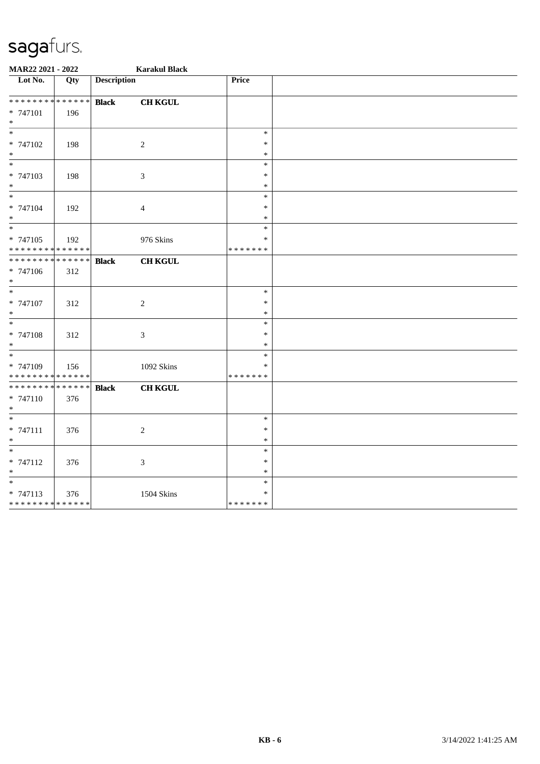| MAR22 2021 - 2022                  |             |                    | <b>Karakul Black</b>        |                  |  |
|------------------------------------|-------------|--------------------|-----------------------------|------------------|--|
| $\overline{\phantom{1}}$ Lot No.   | Qty         | <b>Description</b> |                             | Price            |  |
| **************                     |             | <b>Black</b>       | <b>CH KGUL</b>              |                  |  |
| * 747101                           | 196         |                    |                             |                  |  |
| $\ast$                             |             |                    |                             |                  |  |
| $*$                                |             |                    |                             | $\ast$           |  |
| * 747102                           | 198         |                    | $\sqrt{2}$                  | $\ast$           |  |
| $\ast$                             |             |                    |                             | $\ast$           |  |
| $\ast$                             |             |                    |                             | $\ast$           |  |
| * 747103                           | 198         |                    | $\boldsymbol{\mathfrak{Z}}$ | $\ast$<br>$\ast$ |  |
| $\ast$<br>$\frac{1}{*}$            |             |                    |                             | $\ast$           |  |
| * 747104                           | 192         |                    | $\overline{4}$              | $\ast$           |  |
| $*$                                |             |                    |                             | $\ast$           |  |
| $\overline{\phantom{0}}$           |             |                    |                             | $\ast$           |  |
| $* 747105$                         | 192         |                    | 976 Skins                   | $\ast$           |  |
| **************                     |             |                    |                             | * * * * * * *    |  |
| * * * * * * * * * * * * * *        |             | <b>Black</b>       | <b>CH KGUL</b>              |                  |  |
| * 747106                           | 312         |                    |                             |                  |  |
| $*$                                |             |                    |                             |                  |  |
| $\ast$                             |             |                    |                             | $\ast$           |  |
| * 747107                           | 312         |                    | $\sqrt{2}$                  | $\ast$           |  |
| $\ast$<br>$\overline{\phantom{0}}$ |             |                    |                             | $\ast$           |  |
|                                    |             |                    |                             | $\ast$           |  |
| * 747108                           | 312         |                    | $\mathfrak{Z}$              | $\ast$           |  |
| $\ast$<br>$\ast$                   |             |                    |                             | $\ast$<br>$\ast$ |  |
| * 747109                           |             |                    | 1092 Skins                  | ∗                |  |
| * * * * * * * * * * * * * *        | 156         |                    |                             | * * * * * * *    |  |
| * * * * * * * *                    | * * * * * * | <b>Black</b>       | <b>CH KGUL</b>              |                  |  |
| * 747110                           | 376         |                    |                             |                  |  |
| $\ast$                             |             |                    |                             |                  |  |
| $\overline{\phantom{0}}$           |             |                    |                             | $\ast$           |  |
| $* 747111$                         | 376         |                    | $\sqrt{2}$                  | $\ast$           |  |
| $\ast$                             |             |                    |                             | $\ast$           |  |
| $\ast$                             |             |                    |                             | $\ast$           |  |
| * 747112                           | 376         |                    | $\mathfrak{Z}$              | $\ast$           |  |
| $\ast$                             |             |                    |                             | $\ast$           |  |
| $\ast$                             |             |                    |                             | $\ast$           |  |
| $* 747113$                         | 376         |                    | <b>1504 Skins</b>           | ∗                |  |
| ******** <mark>******</mark>       |             |                    |                             | * * * * * * *    |  |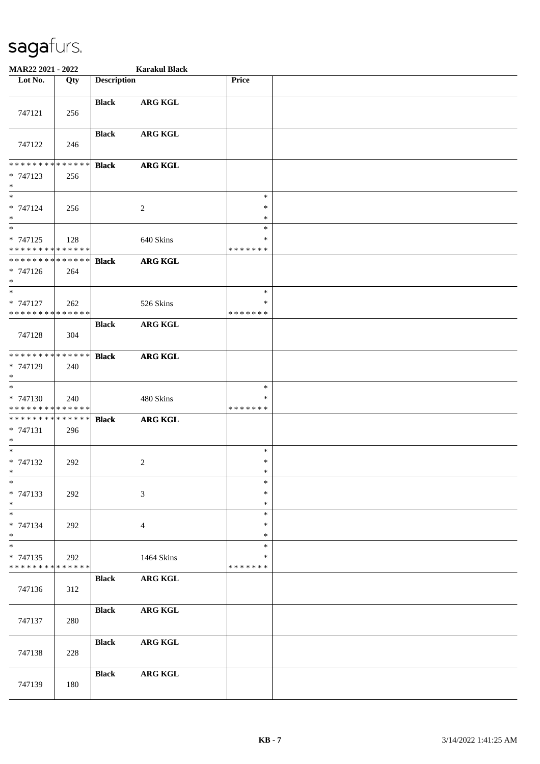| MAR22 2021 - 2022                                                       |     |                    | <b>Karakul Black</b> |                                   |  |
|-------------------------------------------------------------------------|-----|--------------------|----------------------|-----------------------------------|--|
| Lot No.                                                                 | Qty | <b>Description</b> |                      | Price                             |  |
| 747121                                                                  | 256 | <b>Black</b>       | <b>ARG KGL</b>       |                                   |  |
| 747122                                                                  | 246 | <b>Black</b>       | <b>ARG KGL</b>       |                                   |  |
| * * * * * * * * * * * * * *<br>$* 747123$<br>$\ast$                     | 256 | <b>Black</b>       | <b>ARG KGL</b>       |                                   |  |
| $\ast$<br>* 747124<br>$\ast$                                            | 256 |                    | $\sqrt{2}$           | $\ast$<br>$\ast$<br>$\ast$        |  |
| $\overline{\phantom{a}^*}$<br>$* 747125$<br>* * * * * * * * * * * * * * | 128 |                    | 640 Skins            | $\ast$<br>$\ast$<br>* * * * * * * |  |
| **************<br>$* 747126$<br>$*$                                     | 264 | <b>Black</b>       | <b>ARG KGL</b>       |                                   |  |
| $\ast$<br>* 747127<br>* * * * * * * * * * * * * *                       | 262 |                    | 526 Skins            | $\ast$<br>∗<br>* * * * * * *      |  |
| 747128                                                                  | 304 | <b>Black</b>       | <b>ARG KGL</b>       |                                   |  |
| * * * * * * * * * * * * * *<br>* 747129<br>$\ast$                       | 240 | <b>Black</b>       | <b>ARG KGL</b>       |                                   |  |
| $\ast$<br>* 747130<br>* * * * * * * * * * * * * *                       | 240 |                    | 480 Skins            | $\ast$<br>*<br>* * * * * * *      |  |
| * * * * * * * * * * * * * * *<br>$* 747131$<br>$*$                      | 296 | <b>Black</b>       | <b>ARG KGL</b>       |                                   |  |
| $*$<br>* 747132<br>$*$                                                  | 292 |                    | $\overline{c}$       | $\ast$<br>$\ast$<br>$\ast$        |  |
| $\ast$<br>* 747133<br>$\ast$                                            | 292 |                    | 3                    | $\ast$<br>$\ast$<br>$\ast$        |  |
| $\ast$<br>* 747134<br>$*$                                               | 292 |                    | $\overline{4}$       | $\ast$<br>*<br>∗                  |  |
| $\ast$<br>* 747135<br>* * * * * * * * * * * * * *                       | 292 |                    | 1464 Skins           | $\ast$<br>∗<br>* * * * * * *      |  |
| 747136                                                                  | 312 | <b>Black</b>       | <b>ARG KGL</b>       |                                   |  |
| 747137                                                                  | 280 | <b>Black</b>       | <b>ARG KGL</b>       |                                   |  |
| 747138                                                                  | 228 | <b>Black</b>       | <b>ARG KGL</b>       |                                   |  |
| 747139                                                                  | 180 | <b>Black</b>       | <b>ARG KGL</b>       |                                   |  |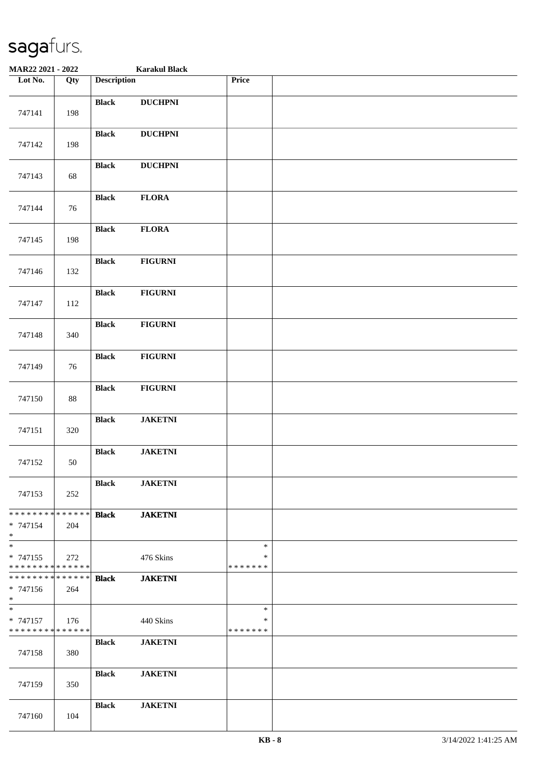| MAR22 2021 - 2022                                  |        |                    | <b>Karakul Black</b> |                                   |  |
|----------------------------------------------------|--------|--------------------|----------------------|-----------------------------------|--|
| Lot No.                                            | Qty    | <b>Description</b> |                      | Price                             |  |
| 747141                                             | 198    | <b>Black</b>       | <b>DUCHPNI</b>       |                                   |  |
| 747142                                             | 198    | <b>Black</b>       | <b>DUCHPNI</b>       |                                   |  |
| 747143                                             | 68     | <b>Black</b>       | <b>DUCHPNI</b>       |                                   |  |
| 747144                                             | 76     | <b>Black</b>       | <b>FLORA</b>         |                                   |  |
| 747145                                             | 198    | <b>Black</b>       | <b>FLORA</b>         |                                   |  |
| 747146                                             | 132    | <b>Black</b>       | <b>FIGURNI</b>       |                                   |  |
| 747147                                             | 112    | <b>Black</b>       | <b>FIGURNI</b>       |                                   |  |
| 747148                                             | 340    | <b>Black</b>       | <b>FIGURNI</b>       |                                   |  |
| 747149                                             | 76     | <b>Black</b>       | <b>FIGURNI</b>       |                                   |  |
| 747150                                             | $88\,$ | <b>Black</b>       | <b>FIGURNI</b>       |                                   |  |
| 747151                                             | 320    | <b>Black</b>       | <b>JAKETNI</b>       |                                   |  |
| 747152                                             | 50     | <b>Black</b>       | <b>JAKETNI</b>       |                                   |  |
| 747153                                             | 252    | <b>Black</b>       | <b>JAKETNI</b>       |                                   |  |
| * * * * * * * * * * * * * * *<br>$* 747154$<br>$*$ | 204    | <b>Black</b>       | <b>JAKETNI</b>       |                                   |  |
| $*$<br>* 747155<br>* * * * * * * * * * * * * *     | 272    |                    | 476 Skins            | $\ast$<br>$\ast$<br>* * * * * * * |  |
| * * * * * * * * * * * * * * *<br>$* 747156$<br>$*$ | 264    | <b>Black</b>       | <b>JAKETNI</b>       |                                   |  |
| $*$<br>$* 747157$<br>* * * * * * * * * * * * * *   | 176    |                    | 440 Skins            | $\ast$<br>$\ast$<br>* * * * * * * |  |
| 747158                                             | 380    | <b>Black</b>       | <b>JAKETNI</b>       |                                   |  |
| 747159                                             | 350    | <b>Black</b>       | <b>JAKETNI</b>       |                                   |  |
| 747160                                             | 104    | <b>Black</b>       | <b>JAKETNI</b>       |                                   |  |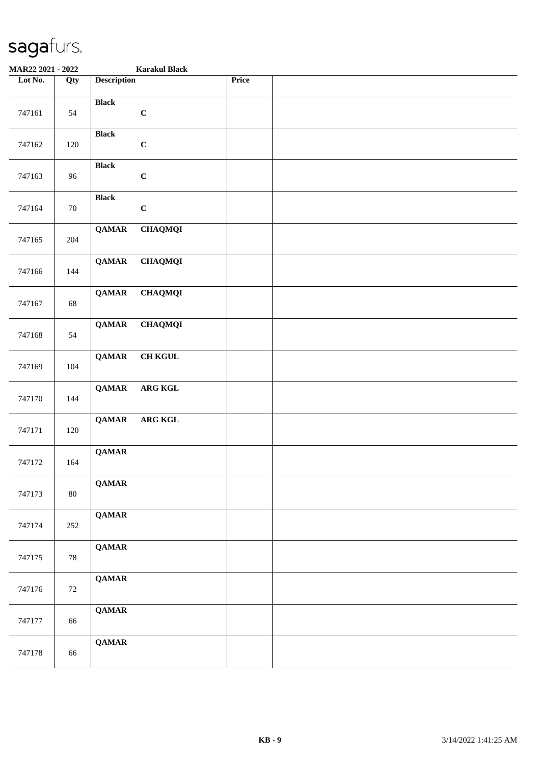| MAR22 2021 - 2022 |        | <b>Karakul Black</b>           |  |
|-------------------|--------|--------------------------------|--|
| Lot No.           | Qty    | <b>Description</b><br>Price    |  |
| 747161            | 54     | <b>Black</b><br>$\mathbf C$    |  |
| 747162            | 120    | <b>Black</b><br>$\mathbf C$    |  |
| 747163            | 96     | <b>Black</b><br>$\mathbf C$    |  |
| 747164            | $70\,$ | <b>Black</b><br>$\mathbf C$    |  |
| 747165            | 204    | <b>QAMAR</b><br><b>CHAQMQI</b> |  |
| 747166            | 144    | <b>QAMAR</b><br><b>CHAQMQI</b> |  |
| 747167            | 68     | <b>QAMAR</b><br><b>CHAQMQI</b> |  |
| 747168            | 54     | <b>QAMAR</b><br><b>CHAQMQI</b> |  |
| 747169            | 104    | <b>QAMAR</b><br><b>CH KGUL</b> |  |
| 747170            | 144    | <b>QAMAR</b><br>ARG KGL        |  |
| 747171            | 120    | ARG KGL<br><b>QAMAR</b>        |  |
| 747172            | 164    | <b>QAMAR</b>                   |  |
| 747173            | 80     | <b>QAMAR</b>                   |  |
| 747174            | 252    | <b>QAMAR</b>                   |  |
| 747175            | 78     | <b>QAMAR</b>                   |  |
| 747176            | 72     | <b>QAMAR</b>                   |  |
| 747177            | 66     | <b>QAMAR</b>                   |  |
| 747178            | 66     | <b>QAMAR</b>                   |  |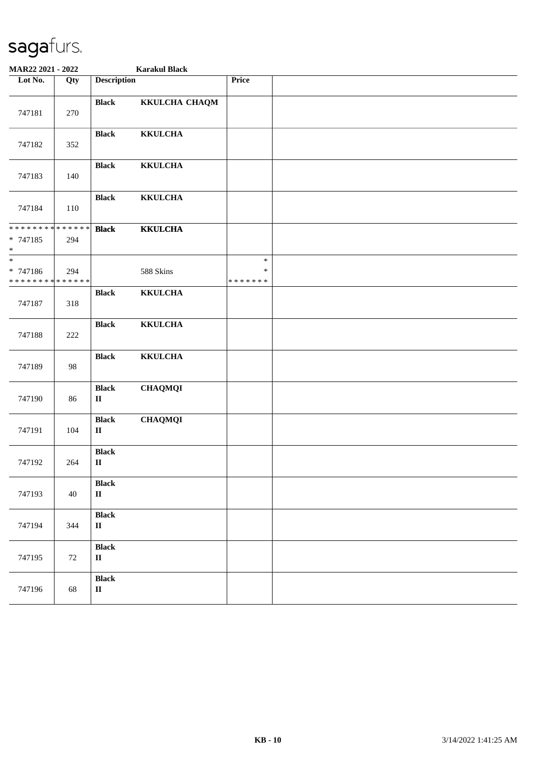| MAR22 2021 - 2022                                 |     |                                        | <b>Karakul Black</b> |                                   |  |
|---------------------------------------------------|-----|----------------------------------------|----------------------|-----------------------------------|--|
| Lot No.                                           | Qty | <b>Description</b>                     |                      | Price                             |  |
| 747181                                            | 270 | <b>Black</b>                           | KKULCHA CHAQM        |                                   |  |
| 747182                                            | 352 | <b>Black</b>                           | <b>KKULCHA</b>       |                                   |  |
| 747183                                            | 140 | <b>Black</b>                           | <b>KKULCHA</b>       |                                   |  |
| 747184                                            | 110 | <b>Black</b>                           | <b>KKULCHA</b>       |                                   |  |
| * * * * * * * * * * * * * *<br>* 747185<br>$\ast$ | 294 | <b>Black</b>                           | <b>KKULCHA</b>       |                                   |  |
| * 747186<br>* * * * * * * * * * * * * * *         | 294 |                                        | 588 Skins            | $\ast$<br>$\ast$<br>* * * * * * * |  |
| 747187                                            | 318 | <b>Black</b>                           | <b>KKULCHA</b>       |                                   |  |
| 747188                                            | 222 | <b>Black</b>                           | <b>KKULCHA</b>       |                                   |  |
| 747189                                            | 98  | <b>Black</b>                           | <b>KKULCHA</b>       |                                   |  |
| 747190                                            | 86  | <b>Black</b><br>П                      | <b>CHAQMQI</b>       |                                   |  |
| 747191                                            | 104 | <b>Black</b><br>$\mathbf{I}$           | <b>CHAQMQI</b>       |                                   |  |
| 747192                                            | 264 | <b>Black</b><br>$\rm II$               |                      |                                   |  |
| 747193                                            | 40  | <b>Black</b><br>$\mathbf{I}\mathbf{I}$ |                      |                                   |  |
| 747194                                            | 344 | <b>Black</b><br>$\mathbf{I}\mathbf{I}$ |                      |                                   |  |
| 747195                                            | 72  | <b>Black</b><br>$\mathbf{I}\mathbf{I}$ |                      |                                   |  |
| 747196                                            | 68  | <b>Black</b><br>$\mathbf{I}\mathbf{I}$ |                      |                                   |  |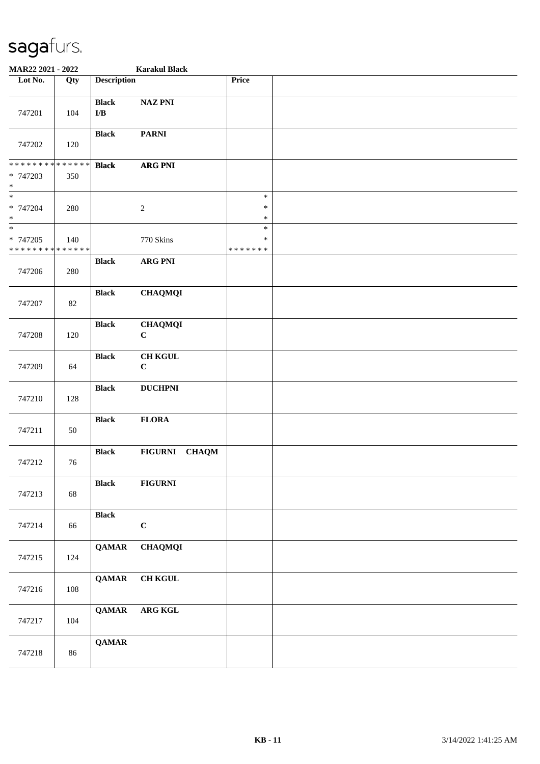| MAR22 2021 - 2022                                                     |        |                                         | <b>Karakul Black</b>          |                              |  |
|-----------------------------------------------------------------------|--------|-----------------------------------------|-------------------------------|------------------------------|--|
| Lot No.                                                               | Qty    | <b>Description</b>                      |                               | Price                        |  |
| 747201                                                                | 104    | <b>Black</b><br>$\mathbf{I}/\mathbf{B}$ | <b>NAZ PNI</b>                |                              |  |
| 747202                                                                | 120    | <b>Black</b>                            | <b>PARNI</b>                  |                              |  |
| ******** <mark>******</mark><br>* 747203<br>$\ast$                    | 350    | <b>Black</b>                            | <b>ARG PNI</b>                |                              |  |
| $\overline{\phantom{a}^*}$<br>* 747204<br>$\ast$                      | 280    |                                         | $\sqrt{2}$                    | $\ast$<br>$\ast$<br>$\ast$   |  |
| $\overline{\phantom{a}^*}$<br>* 747205<br>* * * * * * * * * * * * * * | 140    |                                         | 770 Skins                     | $\ast$<br>∗<br>* * * * * * * |  |
| 747206                                                                | 280    | <b>Black</b>                            | <b>ARG PNI</b>                |                              |  |
| 747207                                                                | $82\,$ | <b>Black</b>                            | <b>CHAQMQI</b>                |                              |  |
| 747208                                                                | 120    | <b>Black</b>                            | <b>CHAQMQI</b><br>$\mathbf C$ |                              |  |
| 747209                                                                | 64     | <b>Black</b>                            | <b>CH KGUL</b><br>$\mathbf C$ |                              |  |
| 747210                                                                | 128    | <b>Black</b>                            | <b>DUCHPNI</b>                |                              |  |
| 747211                                                                | 50     | <b>Black</b>                            | <b>FLORA</b>                  |                              |  |
| 747212                                                                | 76     | <b>Black</b>                            | FIGURNI CHAQM                 |                              |  |
| 747213                                                                | 68     | <b>Black</b>                            | <b>FIGURNI</b>                |                              |  |
| 747214                                                                | 66     | <b>Black</b>                            | $\bf C$                       |                              |  |
| 747215                                                                | 124    | <b>QAMAR</b>                            | <b>CHAQMQI</b>                |                              |  |
| 747216                                                                | 108    | <b>QAMAR</b>                            | <b>CH KGUL</b>                |                              |  |
| 747217                                                                | 104    | <b>QAMAR</b>                            | ARG KGL                       |                              |  |
| 747218                                                                | 86     | <b>QAMAR</b>                            |                               |                              |  |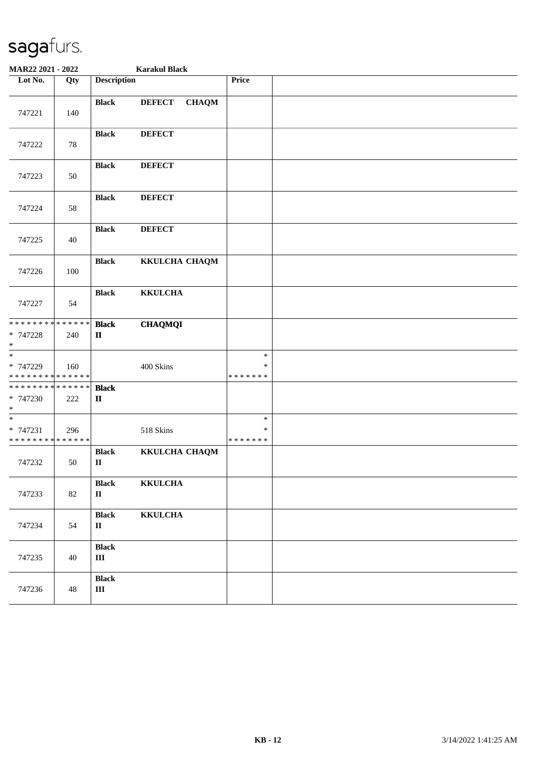| MAR22 2021 - 2022                                            |        |                                        | <b>Karakul Black</b>          |                                   |  |
|--------------------------------------------------------------|--------|----------------------------------------|-------------------------------|-----------------------------------|--|
| Lot No.                                                      | Qty    | <b>Description</b>                     |                               | Price                             |  |
| 747221                                                       | 140    | <b>Black</b>                           | <b>DEFECT</b><br><b>CHAQM</b> |                                   |  |
| 747222                                                       | 78     | <b>Black</b>                           | <b>DEFECT</b>                 |                                   |  |
| 747223                                                       | 50     | <b>Black</b>                           | <b>DEFECT</b>                 |                                   |  |
| 747224                                                       | 58     | <b>Black</b>                           | <b>DEFECT</b>                 |                                   |  |
| 747225                                                       | 40     | <b>Black</b>                           | <b>DEFECT</b>                 |                                   |  |
| 747226                                                       | 100    | <b>Black</b>                           | KKULCHA CHAQM                 |                                   |  |
| 747227                                                       | 54     | <b>Black</b>                           | <b>KKULCHA</b>                |                                   |  |
| * * * * * * * * * * * * * *<br>* 747228<br>$\ast$            | 240    | <b>Black</b><br>$\mathbf{I}\mathbf{I}$ | <b>CHAQMQI</b>                |                                   |  |
| $\overline{\ast}$<br>* 747229<br>* * * * * * * * * * * * * * | 160    |                                        | 400 Skins                     | $\ast$<br>∗<br>* * * * * * *      |  |
| * * * * * * * * * * * * * *<br>* 747230<br>$\ast$            | 222    | <b>Black</b><br>$\mathbf{I}\mathbf{I}$ |                               |                                   |  |
| $\ast$<br>* 747231<br>* * * * * * * * * * * * * *            | 296    |                                        | 518 Skins                     | $\ast$<br>$\ast$<br>* * * * * * * |  |
| 747232                                                       | 50     | <b>Black</b><br>$\mathbf{I}$           | KKULCHA CHAQM                 |                                   |  |
| 747233                                                       | $82\,$ | <b>Black</b><br>$\mathbf{I}\mathbf{I}$ | <b>KKULCHA</b>                |                                   |  |
| 747234                                                       | 54     | <b>Black</b><br>$\mathbf{I}\mathbf{I}$ | <b>KKULCHA</b>                |                                   |  |
| 747235                                                       | 40     | <b>Black</b><br>$\rm III$              |                               |                                   |  |
| 747236                                                       | 48     | <b>Black</b><br>$\rm III$              |                               |                                   |  |